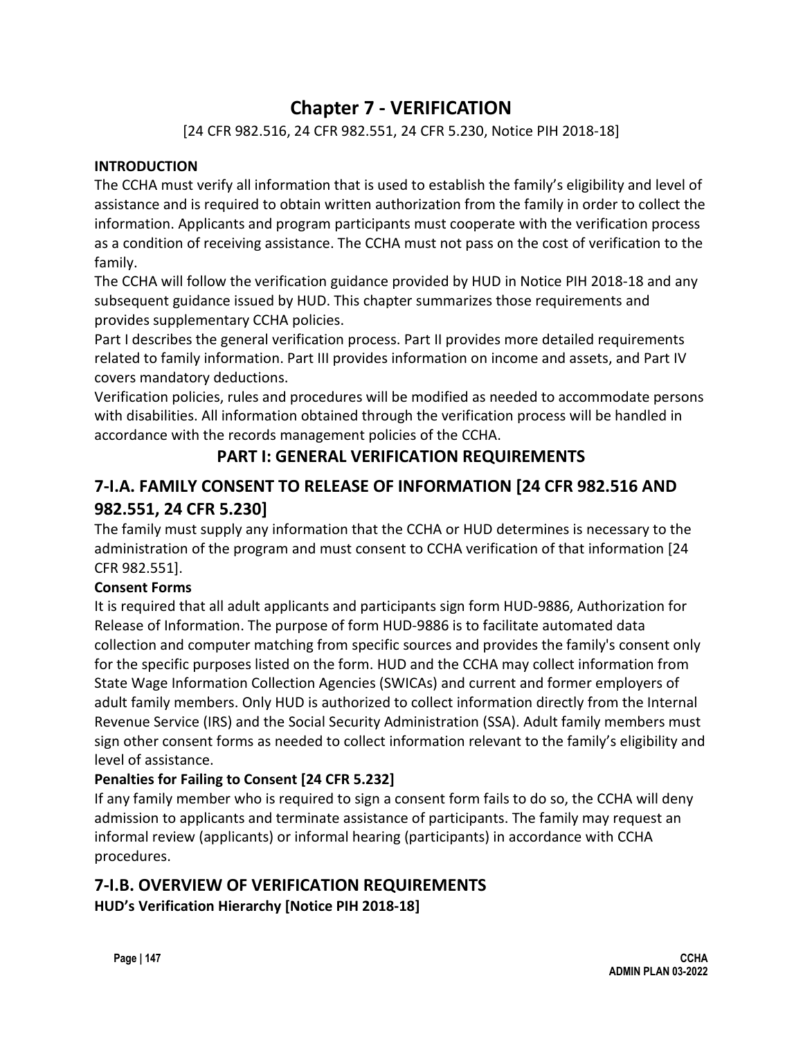## **Chapter 7 - VERIFICATION**

[24 CFR 982.516, 24 CFR 982.551, 24 CFR 5.230, Notice PIH 2018-18]

### **INTRODUCTION**

The CCHA must verify all information that is used to establish the family's eligibility and level of assistance and is required to obtain written authorization from the family in order to collect the information. Applicants and program participants must cooperate with the verification process as a condition of receiving assistance. The CCHA must not pass on the cost of verification to the family.

The CCHA will follow the verification guidance provided by HUD in Notice PIH 2018-18 and any subsequent guidance issued by HUD. This chapter summarizes those requirements and provides supplementary CCHA policies.

Part I describes the general verification process. Part II provides more detailed requirements related to family information. Part III provides information on income and assets, and Part IV covers mandatory deductions.

Verification policies, rules and procedures will be modified as needed to accommodate persons with disabilities. All information obtained through the verification process will be handled in accordance with the records management policies of the CCHA.

## **PART I: GENERAL VERIFICATION REQUIREMENTS**

## **7-I.A. FAMILY CONSENT TO RELEASE OF INFORMATION [24 CFR 982.516 AND 982.551, 24 CFR 5.230]**

The family must supply any information that the CCHA or HUD determines is necessary to the administration of the program and must consent to CCHA verification of that information [24 CFR 982.551].

## **Consent Forms**

It is required that all adult applicants and participants sign form HUD-9886, Authorization for Release of Information. The purpose of form HUD-9886 is to facilitate automated data collection and computer matching from specific sources and provides the family's consent only for the specific purposes listed on the form. HUD and the CCHA may collect information from State Wage Information Collection Agencies (SWICAs) and current and former employers of adult family members. Only HUD is authorized to collect information directly from the Internal Revenue Service (IRS) and the Social Security Administration (SSA). Adult family members must sign other consent forms as needed to collect information relevant to the family's eligibility and level of assistance.

## **Penalties for Failing to Consent [24 CFR 5.232]**

If any family member who is required to sign a consent form fails to do so, the CCHA will deny admission to applicants and terminate assistance of participants. The family may request an informal review (applicants) or informal hearing (participants) in accordance with CCHA procedures.

# **7-I.B. OVERVIEW OF VERIFICATION REQUIREMENTS**

**HUD's Verification Hierarchy [Notice PIH 2018-18]**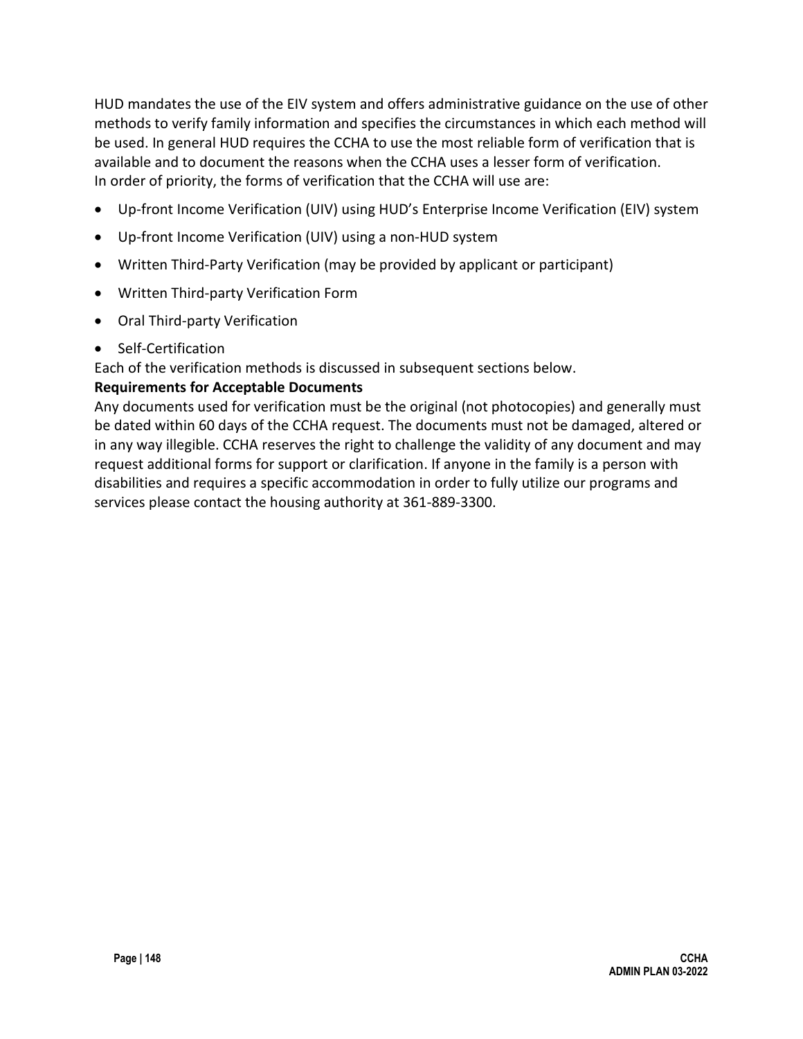HUD mandates the use of the EIV system and offers administrative guidance on the use of other methods to verify family information and specifies the circumstances in which each method will be used. In general HUD requires the CCHA to use the most reliable form of verification that is available and to document the reasons when the CCHA uses a lesser form of verification. In order of priority, the forms of verification that the CCHA will use are:

- Up-front Income Verification (UIV) using HUD's Enterprise Income Verification (EIV) system
- Up-front Income Verification (UIV) using a non-HUD system
- Written Third-Party Verification (may be provided by applicant or participant)
- Written Third-party Verification Form
- Oral Third-party Verification
- Self-Certification

Each of the verification methods is discussed in subsequent sections below.

### **Requirements for Acceptable Documents**

Any documents used for verification must be the original (not photocopies) and generally must be dated within 60 days of the CCHA request. The documents must not be damaged, altered or in any way illegible. CCHA reserves the right to challenge the validity of any document and may request additional forms for support or clarification. If anyone in the family is a person with disabilities and requires a specific accommodation in order to fully utilize our programs and services please contact the housing authority at 361-889-3300.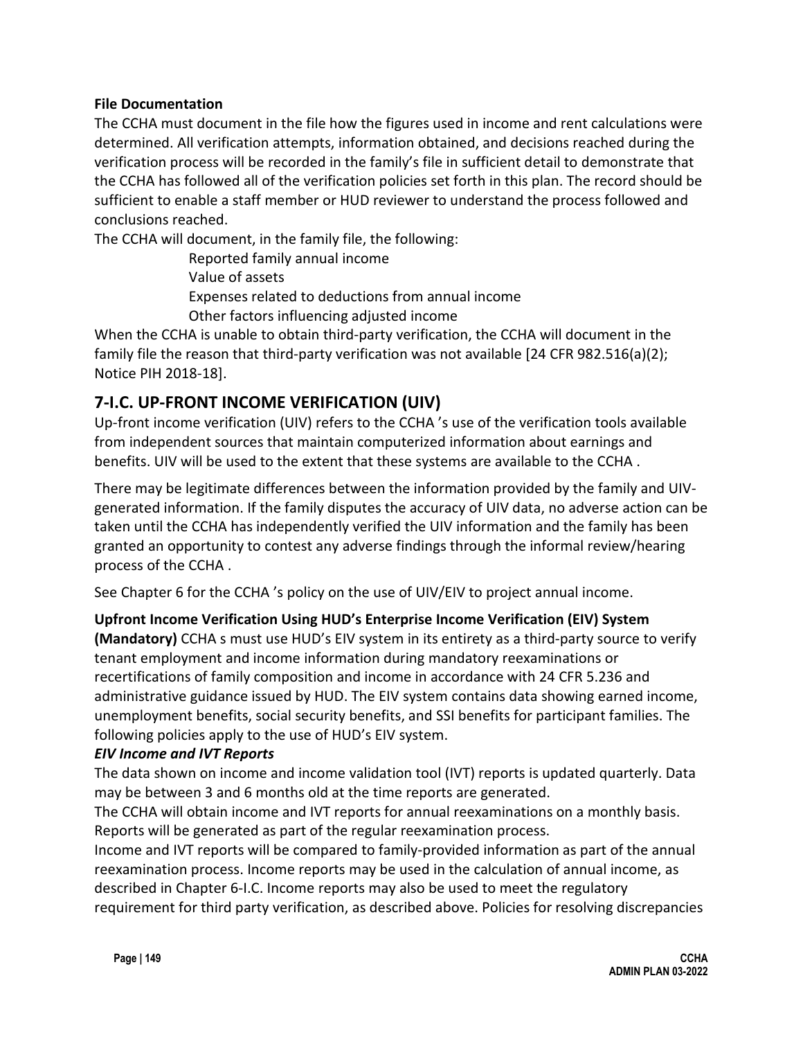#### **File Documentation**

The CCHA must document in the file how the figures used in income and rent calculations were determined. All verification attempts, information obtained, and decisions reached during the verification process will be recorded in the family's file in sufficient detail to demonstrate that the CCHA has followed all of the verification policies set forth in this plan. The record should be sufficient to enable a staff member or HUD reviewer to understand the process followed and conclusions reached.

The CCHA will document, in the family file, the following:

Reported family annual income

Value of assets

Expenses related to deductions from annual income

Other factors influencing adjusted income

When the CCHA is unable to obtain third-party verification, the CCHA will document in the family file the reason that third-party verification was not available [24 CFR 982.516(a)(2); Notice PIH 2018-18].

## **7-I.C. UP-FRONT INCOME VERIFICATION (UIV)**

Up-front income verification (UIV) refers to the CCHA 's use of the verification tools available from independent sources that maintain computerized information about earnings and benefits. UIV will be used to the extent that these systems are available to the CCHA .

There may be legitimate differences between the information provided by the family and UIVgenerated information. If the family disputes the accuracy of UIV data, no adverse action can be taken until the CCHA has independently verified the UIV information and the family has been granted an opportunity to contest any adverse findings through the informal review/hearing process of the CCHA .

See Chapter 6 for the CCHA 's policy on the use of UIV/EIV to project annual income.

### **Upfront Income Verification Using HUD's Enterprise Income Verification (EIV) System**

**(Mandatory)** CCHA s must use HUD's EIV system in its entirety as a third-party source to verify tenant employment and income information during mandatory reexaminations or recertifications of family composition and income in accordance with 24 CFR 5.236 and administrative guidance issued by HUD. The EIV system contains data showing earned income, unemployment benefits, social security benefits, and SSI benefits for participant families. The following policies apply to the use of HUD's EIV system.

#### *EIV Income and IVT Reports*

The data shown on income and income validation tool (IVT) reports is updated quarterly. Data may be between 3 and 6 months old at the time reports are generated.

The CCHA will obtain income and IVT reports for annual reexaminations on a monthly basis. Reports will be generated as part of the regular reexamination process.

Income and IVT reports will be compared to family-provided information as part of the annual reexamination process. Income reports may be used in the calculation of annual income, as described in Chapter 6-I.C. Income reports may also be used to meet the regulatory requirement for third party verification, as described above. Policies for resolving discrepancies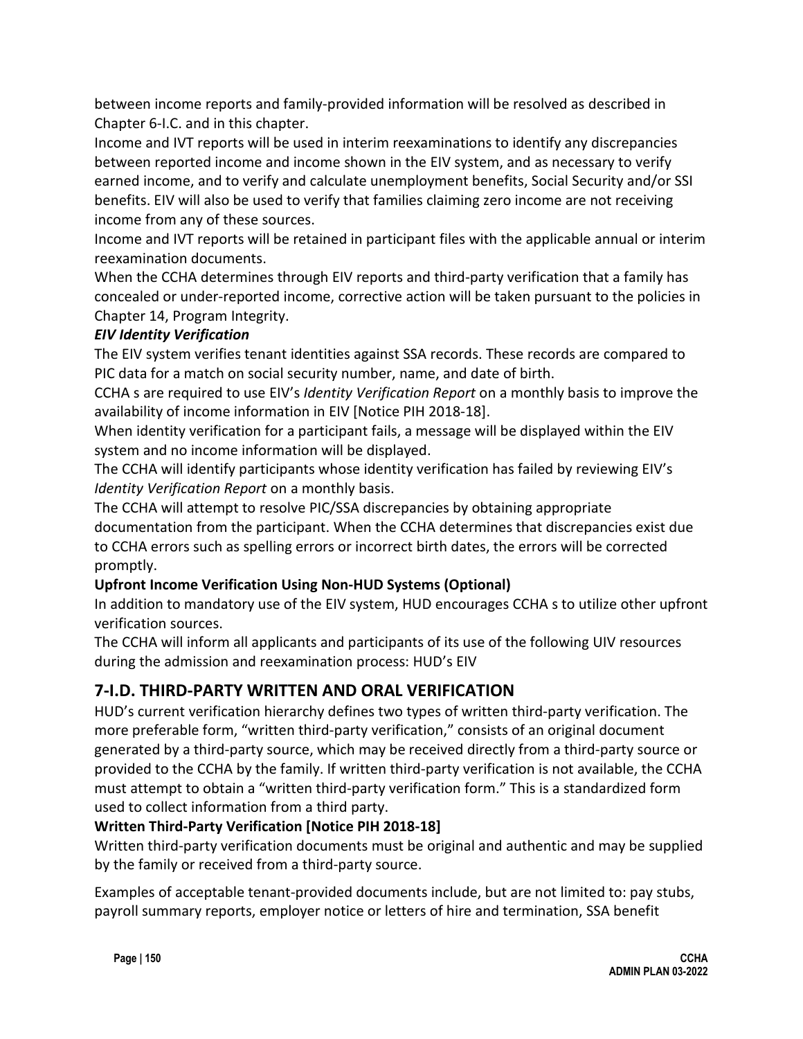between income reports and family-provided information will be resolved as described in Chapter 6-I.C. and in this chapter.

Income and IVT reports will be used in interim reexaminations to identify any discrepancies between reported income and income shown in the EIV system, and as necessary to verify earned income, and to verify and calculate unemployment benefits, Social Security and/or SSI benefits. EIV will also be used to verify that families claiming zero income are not receiving income from any of these sources.

Income and IVT reports will be retained in participant files with the applicable annual or interim reexamination documents.

When the CCHA determines through EIV reports and third-party verification that a family has concealed or under-reported income, corrective action will be taken pursuant to the policies in Chapter 14, Program Integrity.

### *EIV Identity Verification*

The EIV system verifies tenant identities against SSA records. These records are compared to PIC data for a match on social security number, name, and date of birth.

CCHA s are required to use EIV's *Identity Verification Report* on a monthly basis to improve the availability of income information in EIV [Notice PIH 2018-18].

When identity verification for a participant fails, a message will be displayed within the EIV system and no income information will be displayed.

The CCHA will identify participants whose identity verification has failed by reviewing EIV's *Identity Verification Report* on a monthly basis.

The CCHA will attempt to resolve PIC/SSA discrepancies by obtaining appropriate documentation from the participant. When the CCHA determines that discrepancies exist due to CCHA errors such as spelling errors or incorrect birth dates, the errors will be corrected promptly.

## **Upfront Income Verification Using Non-HUD Systems (Optional)**

In addition to mandatory use of the EIV system, HUD encourages CCHA s to utilize other upfront verification sources.

The CCHA will inform all applicants and participants of its use of the following UIV resources during the admission and reexamination process: HUD's EIV

## **7-I.D. THIRD-PARTY WRITTEN AND ORAL VERIFICATION**

HUD's current verification hierarchy defines two types of written third-party verification. The more preferable form, "written third-party verification," consists of an original document generated by a third-party source, which may be received directly from a third-party source or provided to the CCHA by the family. If written third-party verification is not available, the CCHA must attempt to obtain a "written third-party verification form." This is a standardized form used to collect information from a third party.

## **Written Third-Party Verification [Notice PIH 2018-18]**

Written third-party verification documents must be original and authentic and may be supplied by the family or received from a third-party source.

Examples of acceptable tenant-provided documents include, but are not limited to: pay stubs, payroll summary reports, employer notice or letters of hire and termination, SSA benefit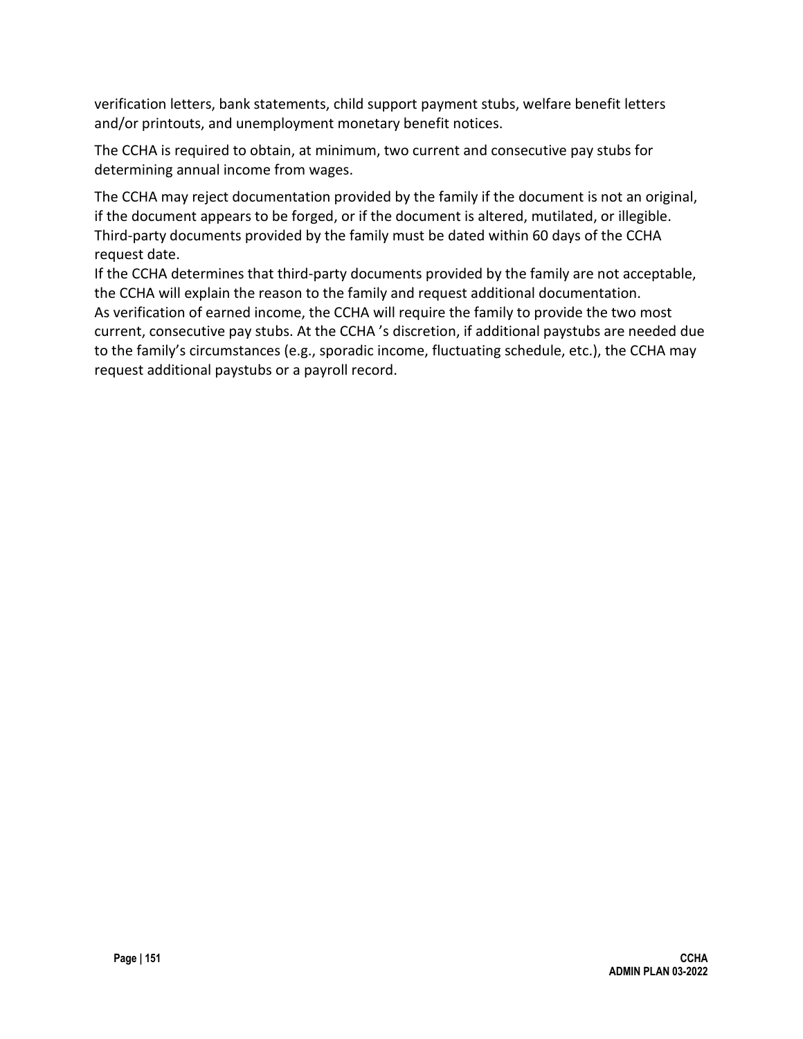verification letters, bank statements, child support payment stubs, welfare benefit letters and/or printouts, and unemployment monetary benefit notices.

The CCHA is required to obtain, at minimum, two current and consecutive pay stubs for determining annual income from wages.

The CCHA may reject documentation provided by the family if the document is not an original, if the document appears to be forged, or if the document is altered, mutilated, or illegible. Third-party documents provided by the family must be dated within 60 days of the CCHA request date.

If the CCHA determines that third-party documents provided by the family are not acceptable, the CCHA will explain the reason to the family and request additional documentation. As verification of earned income, the CCHA will require the family to provide the two most current, consecutive pay stubs. At the CCHA 's discretion, if additional paystubs are needed due to the family's circumstances (e.g., sporadic income, fluctuating schedule, etc.), the CCHA may request additional paystubs or a payroll record.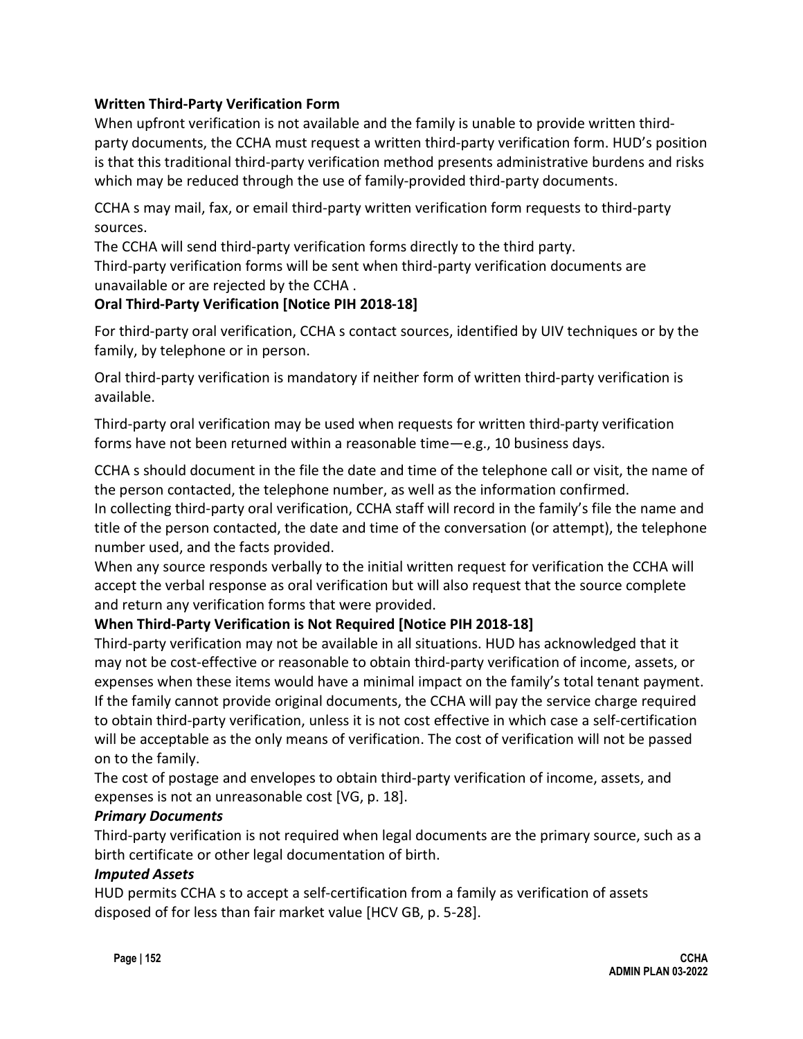### **Written Third-Party Verification Form**

When upfront verification is not available and the family is unable to provide written thirdparty documents, the CCHA must request a written third-party verification form. HUD's position is that this traditional third-party verification method presents administrative burdens and risks which may be reduced through the use of family-provided third-party documents.

CCHA s may mail, fax, or email third-party written verification form requests to third-party sources.

The CCHA will send third-party verification forms directly to the third party.

Third-party verification forms will be sent when third-party verification documents are unavailable or are rejected by the CCHA .

#### **Oral Third-Party Verification [Notice PIH 2018-18]**

For third-party oral verification, CCHA s contact sources, identified by UIV techniques or by the family, by telephone or in person.

Oral third-party verification is mandatory if neither form of written third-party verification is available.

Third-party oral verification may be used when requests for written third-party verification forms have not been returned within a reasonable time—e.g., 10 business days.

CCHA s should document in the file the date and time of the telephone call or visit, the name of the person contacted, the telephone number, as well as the information confirmed.

In collecting third-party oral verification, CCHA staff will record in the family's file the name and title of the person contacted, the date and time of the conversation (or attempt), the telephone number used, and the facts provided.

When any source responds verbally to the initial written request for verification the CCHA will accept the verbal response as oral verification but will also request that the source complete and return any verification forms that were provided.

### **When Third-Party Verification is Not Required [Notice PIH 2018-18]**

Third-party verification may not be available in all situations. HUD has acknowledged that it may not be cost-effective or reasonable to obtain third-party verification of income, assets, or expenses when these items would have a minimal impact on the family's total tenant payment. If the family cannot provide original documents, the CCHA will pay the service charge required to obtain third-party verification, unless it is not cost effective in which case a self-certification will be acceptable as the only means of verification. The cost of verification will not be passed on to the family.

The cost of postage and envelopes to obtain third-party verification of income, assets, and expenses is not an unreasonable cost [VG, p. 18].

#### *Primary Documents*

Third-party verification is not required when legal documents are the primary source, such as a birth certificate or other legal documentation of birth.

#### *Imputed Assets*

HUD permits CCHA s to accept a self-certification from a family as verification of assets disposed of for less than fair market value [HCV GB, p. 5-28].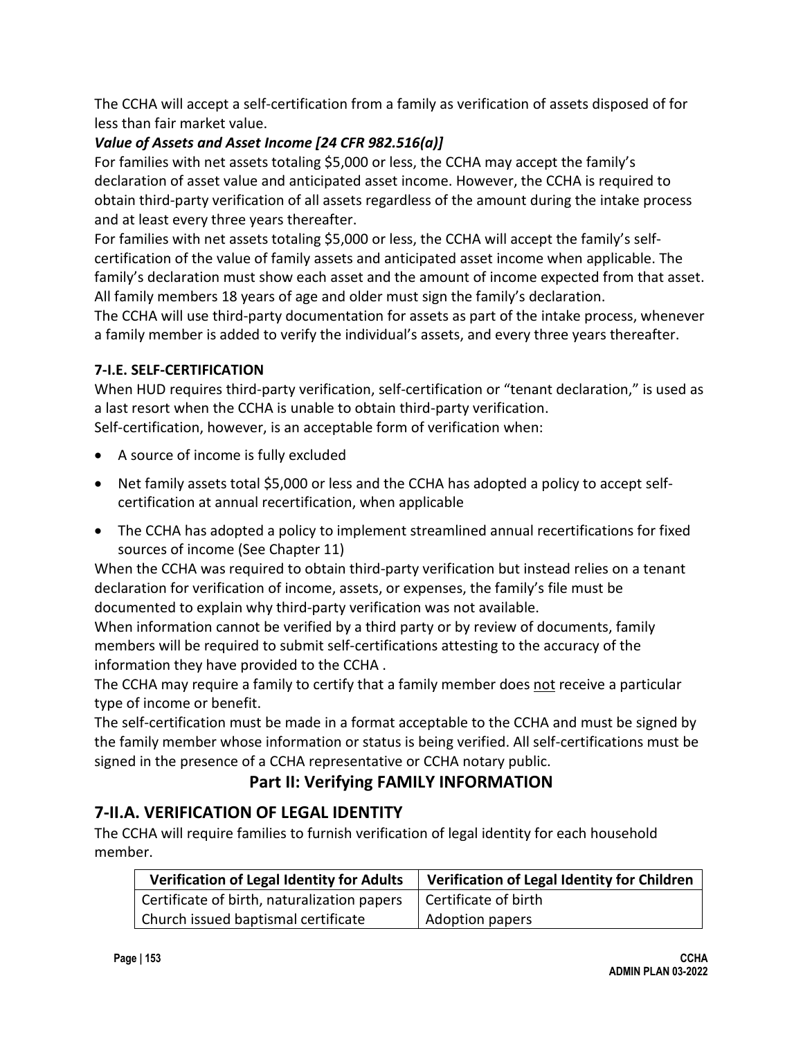The CCHA will accept a self-certification from a family as verification of assets disposed of for less than fair market value.

## *Value of Assets and Asset Income [24 CFR 982.516(a)]*

For families with net assets totaling \$5,000 or less, the CCHA may accept the family's declaration of asset value and anticipated asset income. However, the CCHA is required to obtain third-party verification of all assets regardless of the amount during the intake process and at least every three years thereafter.

For families with net assets totaling \$5,000 or less, the CCHA will accept the family's selfcertification of the value of family assets and anticipated asset income when applicable. The family's declaration must show each asset and the amount of income expected from that asset. All family members 18 years of age and older must sign the family's declaration.

The CCHA will use third-party documentation for assets as part of the intake process, whenever a family member is added to verify the individual's assets, and every three years thereafter.

### **7-I.E. SELF-CERTIFICATION**

When HUD requires third-party verification, self-certification or "tenant declaration," is used as a last resort when the CCHA is unable to obtain third-party verification.

Self-certification, however, is an acceptable form of verification when:

- A source of income is fully excluded
- Net family assets total \$5,000 or less and the CCHA has adopted a policy to accept selfcertification at annual recertification, when applicable
- The CCHA has adopted a policy to implement streamlined annual recertifications for fixed sources of income (See Chapter 11)

When the CCHA was required to obtain third-party verification but instead relies on a tenant declaration for verification of income, assets, or expenses, the family's file must be documented to explain why third-party verification was not available.

When information cannot be verified by a third party or by review of documents, family members will be required to submit self-certifications attesting to the accuracy of the information they have provided to the CCHA .

The CCHA may require a family to certify that a family member does not receive a particular type of income or benefit.

The self-certification must be made in a format acceptable to the CCHA and must be signed by the family member whose information or status is being verified. All self-certifications must be signed in the presence of a CCHA representative or CCHA notary public.

## **Part II: Verifying FAMILY INFORMATION**

## **7-II.A. VERIFICATION OF LEGAL IDENTITY**

The CCHA will require families to furnish verification of legal identity for each household member.

| <b>Verification of Legal Identity for Adults</b> | Verification of Legal Identity for Children |
|--------------------------------------------------|---------------------------------------------|
| Certificate of birth, naturalization papers      | Certificate of birth                        |
| Church issued baptismal certificate              | Adoption papers                             |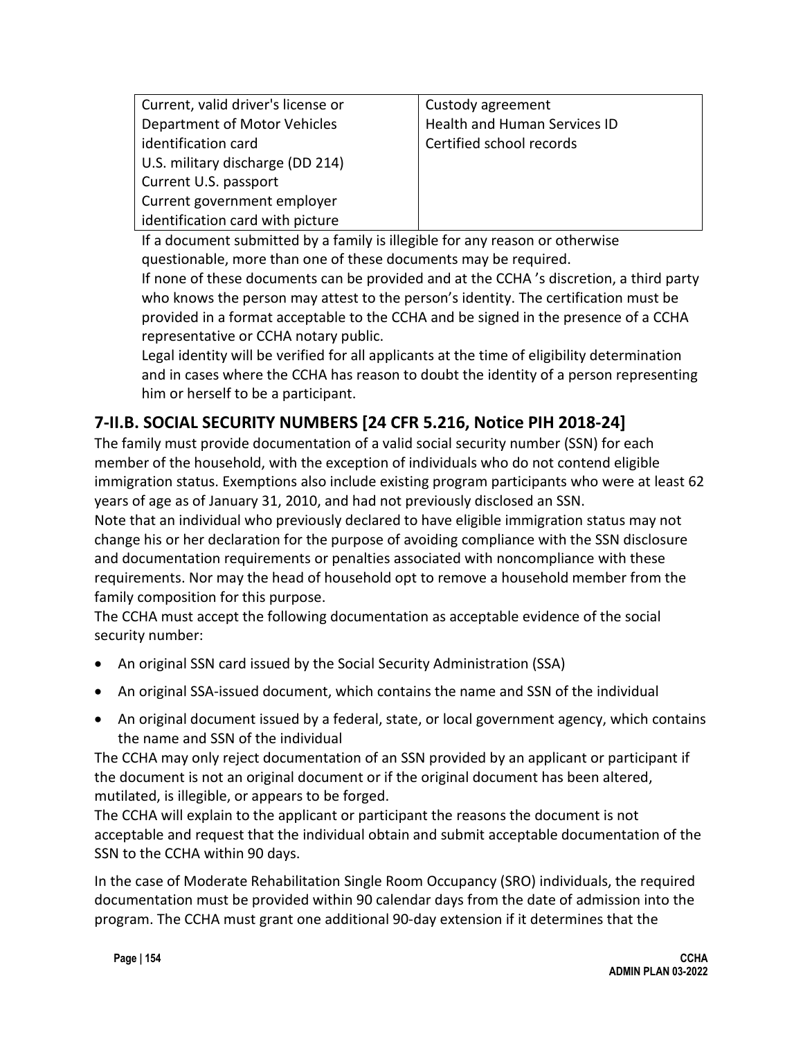| Current, valid driver's license or | Custody agreement            |
|------------------------------------|------------------------------|
| Department of Motor Vehicles       | Health and Human Services ID |
| identification card                | Certified school records     |
| U.S. military discharge (DD 214)   |                              |
| Current U.S. passport              |                              |
| Current government employer        |                              |
| dentification card with picture    |                              |

If a document submitted by a family is illegible for any reason or otherwise questionable, more than one of these documents may be required.

If none of these documents can be provided and at the CCHA 's discretion, a third party who knows the person may attest to the person's identity. The certification must be provided in a format acceptable to the CCHA and be signed in the presence of a CCHA representative or CCHA notary public.

Legal identity will be verified for all applicants at the time of eligibility determination and in cases where the CCHA has reason to doubt the identity of a person representing him or herself to be a participant.

## **7-II.B. SOCIAL SECURITY NUMBERS [24 CFR 5.216, Notice PIH 2018-24]**

The family must provide documentation of a valid social security number (SSN) for each member of the household, with the exception of individuals who do not contend eligible immigration status. Exemptions also include existing program participants who were at least 62 years of age as of January 31, 2010, and had not previously disclosed an SSN.

Note that an individual who previously declared to have eligible immigration status may not change his or her declaration for the purpose of avoiding compliance with the SSN disclosure and documentation requirements or penalties associated with noncompliance with these requirements. Nor may the head of household opt to remove a household member from the family composition for this purpose.

The CCHA must accept the following documentation as acceptable evidence of the social security number:

- An original SSN card issued by the Social Security Administration (SSA)
- An original SSA-issued document, which contains the name and SSN of the individual
- An original document issued by a federal, state, or local government agency, which contains the name and SSN of the individual

The CCHA may only reject documentation of an SSN provided by an applicant or participant if the document is not an original document or if the original document has been altered, mutilated, is illegible, or appears to be forged.

The CCHA will explain to the applicant or participant the reasons the document is not acceptable and request that the individual obtain and submit acceptable documentation of the SSN to the CCHA within 90 days.

In the case of Moderate Rehabilitation Single Room Occupancy (SRO) individuals, the required documentation must be provided within 90 calendar days from the date of admission into the program. The CCHA must grant one additional 90-day extension if it determines that the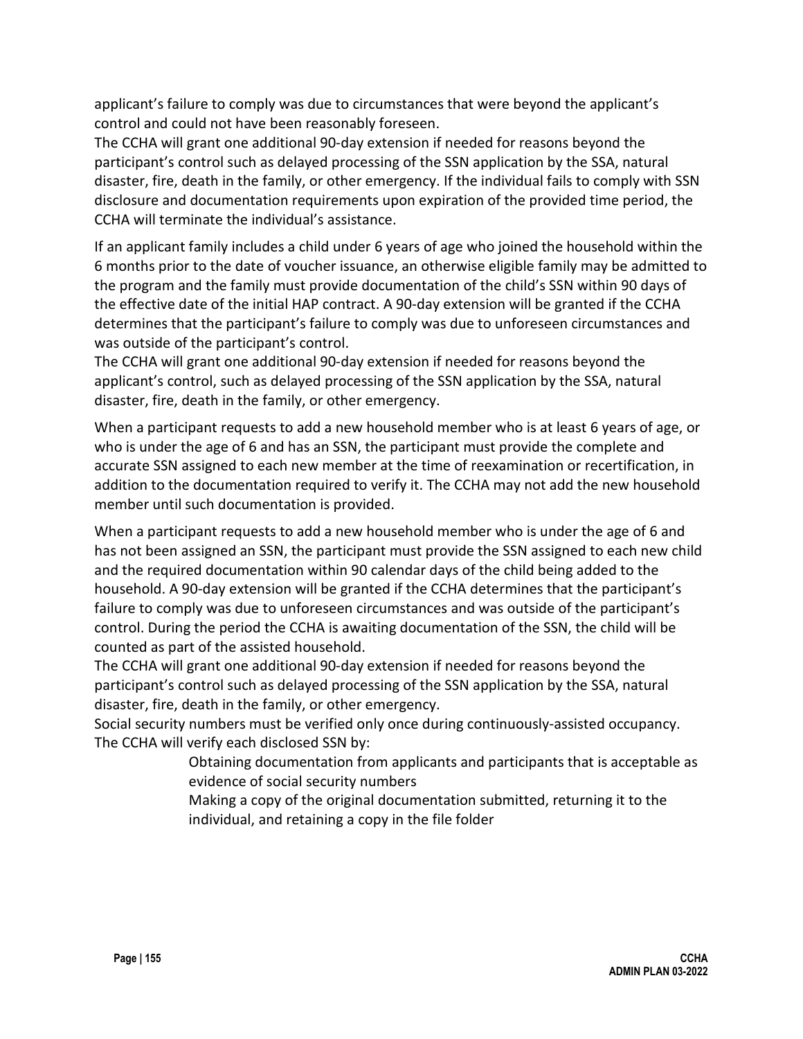applicant's failure to comply was due to circumstances that were beyond the applicant's control and could not have been reasonably foreseen.

The CCHA will grant one additional 90-day extension if needed for reasons beyond the participant's control such as delayed processing of the SSN application by the SSA, natural disaster, fire, death in the family, or other emergency. If the individual fails to comply with SSN disclosure and documentation requirements upon expiration of the provided time period, the CCHA will terminate the individual's assistance.

If an applicant family includes a child under 6 years of age who joined the household within the 6 months prior to the date of voucher issuance, an otherwise eligible family may be admitted to the program and the family must provide documentation of the child's SSN within 90 days of the effective date of the initial HAP contract. A 90-day extension will be granted if the CCHA determines that the participant's failure to comply was due to unforeseen circumstances and was outside of the participant's control.

The CCHA will grant one additional 90-day extension if needed for reasons beyond the applicant's control, such as delayed processing of the SSN application by the SSA, natural disaster, fire, death in the family, or other emergency.

When a participant requests to add a new household member who is at least 6 years of age, or who is under the age of 6 and has an SSN, the participant must provide the complete and accurate SSN assigned to each new member at the time of reexamination or recertification, in addition to the documentation required to verify it. The CCHA may not add the new household member until such documentation is provided.

When a participant requests to add a new household member who is under the age of 6 and has not been assigned an SSN, the participant must provide the SSN assigned to each new child and the required documentation within 90 calendar days of the child being added to the household. A 90-day extension will be granted if the CCHA determines that the participant's failure to comply was due to unforeseen circumstances and was outside of the participant's control. During the period the CCHA is awaiting documentation of the SSN, the child will be counted as part of the assisted household.

The CCHA will grant one additional 90-day extension if needed for reasons beyond the participant's control such as delayed processing of the SSN application by the SSA, natural disaster, fire, death in the family, or other emergency.

Social security numbers must be verified only once during continuously-assisted occupancy. The CCHA will verify each disclosed SSN by:

> Obtaining documentation from applicants and participants that is acceptable as evidence of social security numbers

Making a copy of the original documentation submitted, returning it to the individual, and retaining a copy in the file folder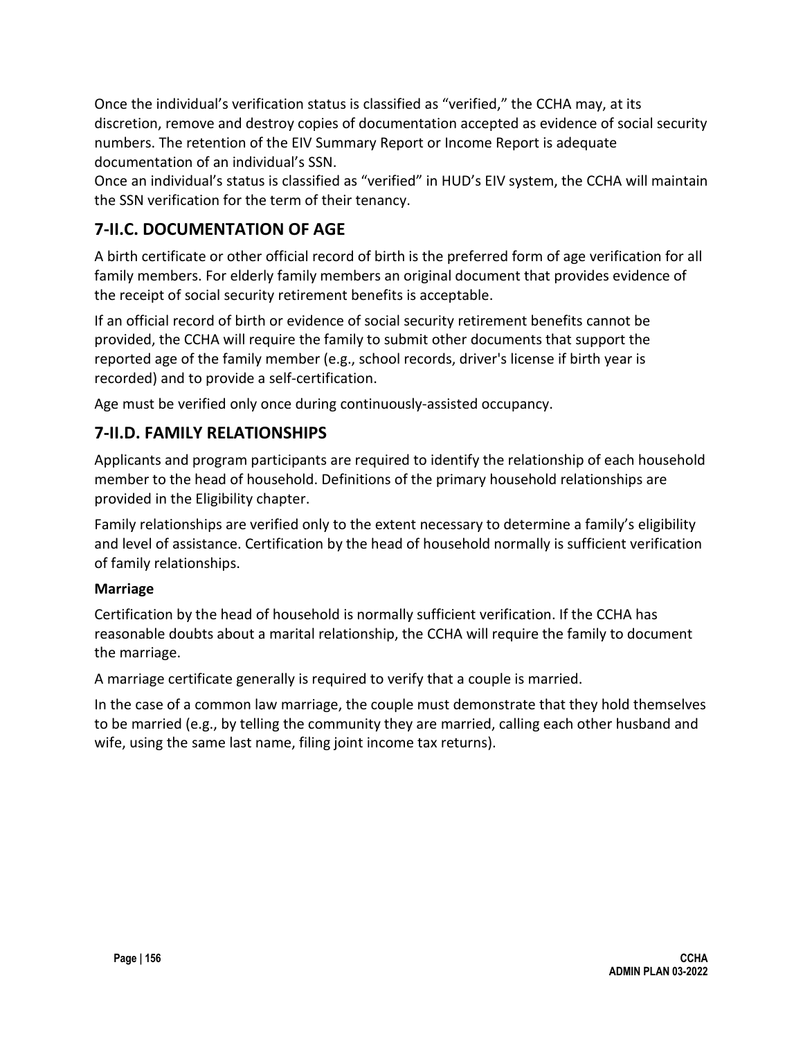Once the individual's verification status is classified as "verified," the CCHA may, at its discretion, remove and destroy copies of documentation accepted as evidence of social security numbers. The retention of the EIV Summary Report or Income Report is adequate documentation of an individual's SSN.

Once an individual's status is classified as "verified" in HUD's EIV system, the CCHA will maintain the SSN verification for the term of their tenancy.

## **7-II.C. DOCUMENTATION OF AGE**

A birth certificate or other official record of birth is the preferred form of age verification for all family members. For elderly family members an original document that provides evidence of the receipt of social security retirement benefits is acceptable.

If an official record of birth or evidence of social security retirement benefits cannot be provided, the CCHA will require the family to submit other documents that support the reported age of the family member (e.g., school records, driver's license if birth year is recorded) and to provide a self-certification.

Age must be verified only once during continuously-assisted occupancy.

## **7-II.D. FAMILY RELATIONSHIPS**

Applicants and program participants are required to identify the relationship of each household member to the head of household. Definitions of the primary household relationships are provided in the Eligibility chapter.

Family relationships are verified only to the extent necessary to determine a family's eligibility and level of assistance. Certification by the head of household normally is sufficient verification of family relationships.

### **Marriage**

Certification by the head of household is normally sufficient verification. If the CCHA has reasonable doubts about a marital relationship, the CCHA will require the family to document the marriage.

A marriage certificate generally is required to verify that a couple is married.

In the case of a common law marriage, the couple must demonstrate that they hold themselves to be married (e.g., by telling the community they are married, calling each other husband and wife, using the same last name, filing joint income tax returns).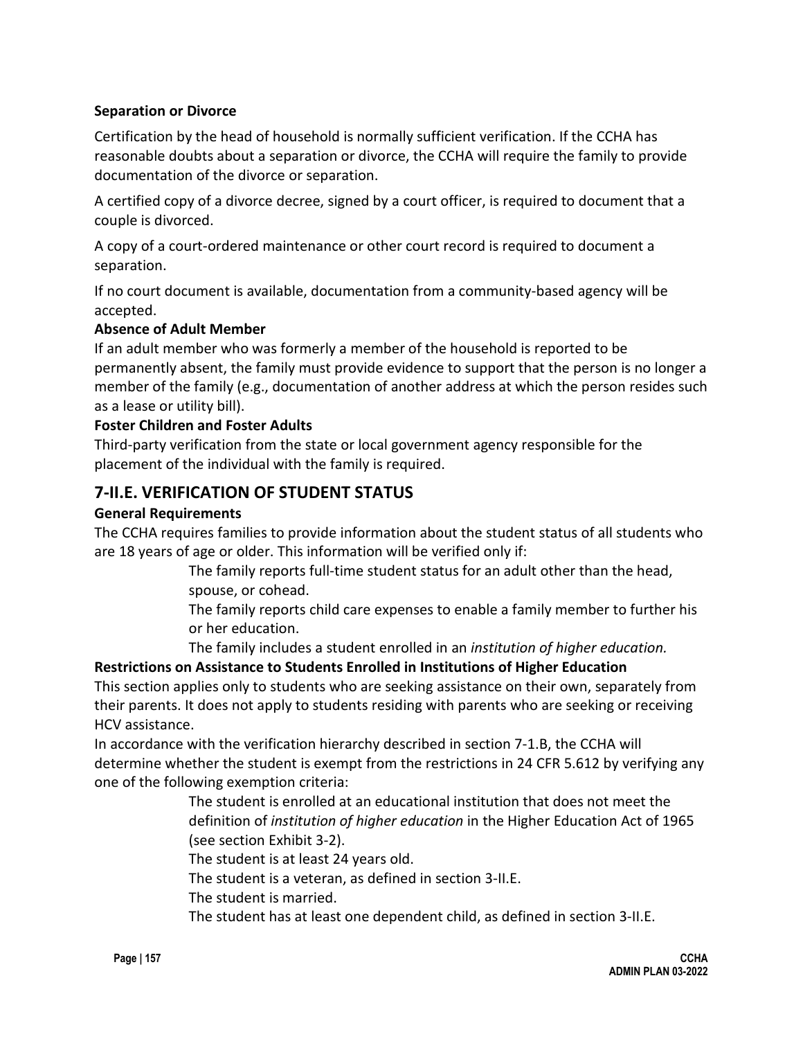### **Separation or Divorce**

Certification by the head of household is normally sufficient verification. If the CCHA has reasonable doubts about a separation or divorce, the CCHA will require the family to provide documentation of the divorce or separation.

A certified copy of a divorce decree, signed by a court officer, is required to document that a couple is divorced.

A copy of a court-ordered maintenance or other court record is required to document a separation.

If no court document is available, documentation from a community-based agency will be accepted.

#### **Absence of Adult Member**

If an adult member who was formerly a member of the household is reported to be permanently absent, the family must provide evidence to support that the person is no longer a member of the family (e.g., documentation of another address at which the person resides such as a lease or utility bill).

#### **Foster Children and Foster Adults**

Third-party verification from the state or local government agency responsible for the placement of the individual with the family is required.

## **7-II.E. VERIFICATION OF STUDENT STATUS**

#### **General Requirements**

The CCHA requires families to provide information about the student status of all students who are 18 years of age or older. This information will be verified only if:

> The family reports full-time student status for an adult other than the head, spouse, or cohead.

The family reports child care expenses to enable a family member to further his or her education.

The family includes a student enrolled in an *institution of higher education.*

### **Restrictions on Assistance to Students Enrolled in Institutions of Higher Education**

This section applies only to students who are seeking assistance on their own, separately from their parents. It does not apply to students residing with parents who are seeking or receiving HCV assistance.

In accordance with the verification hierarchy described in section 7-1.B, the CCHA will determine whether the student is exempt from the restrictions in 24 CFR 5.612 by verifying any one of the following exemption criteria:

> The student is enrolled at an educational institution that does not meet the definition of *institution of higher education* in the Higher Education Act of 1965 (see section Exhibit 3-2).

The student is at least 24 years old.

The student is a veteran, as defined in section 3-II.E.

The student is married.

The student has at least one dependent child, as defined in section 3-II.E.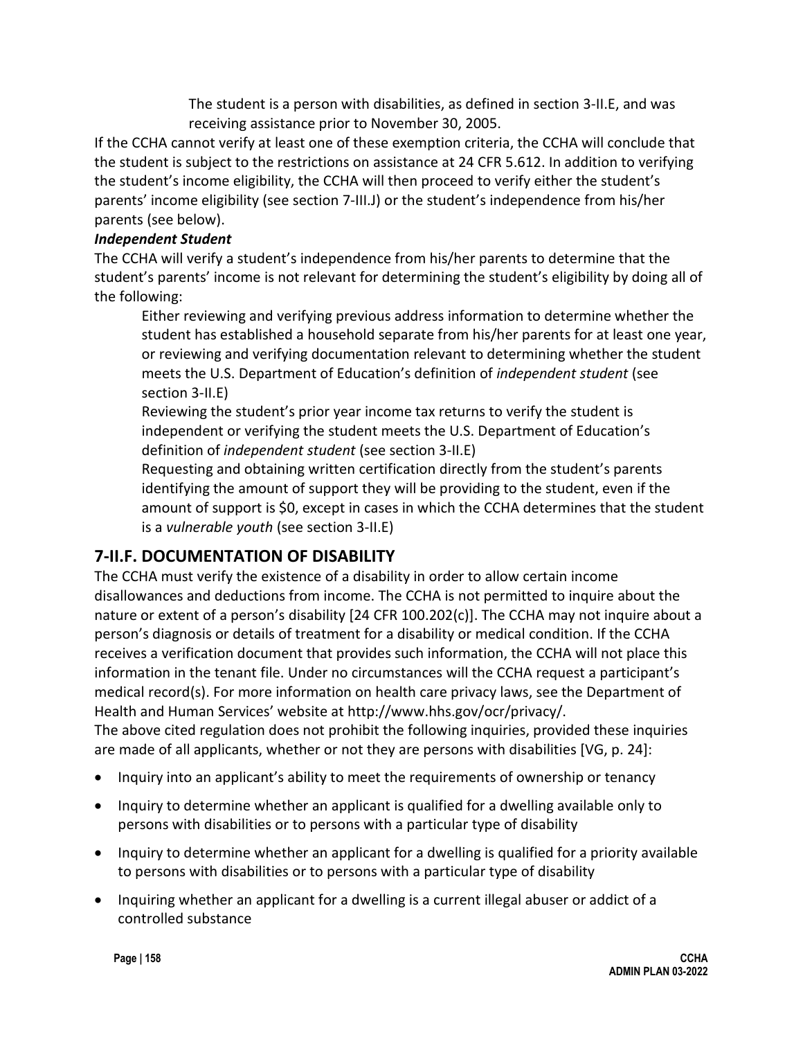The student is a person with disabilities, as defined in section 3-II.E, and was receiving assistance prior to November 30, 2005.

If the CCHA cannot verify at least one of these exemption criteria, the CCHA will conclude that the student is subject to the restrictions on assistance at 24 CFR 5.612. In addition to verifying the student's income eligibility, the CCHA will then proceed to verify either the student's parents' income eligibility (see section 7-III.J) or the student's independence from his/her parents (see below).

### *Independent Student*

The CCHA will verify a student's independence from his/her parents to determine that the student's parents' income is not relevant for determining the student's eligibility by doing all of the following:

Either reviewing and verifying previous address information to determine whether the student has established a household separate from his/her parents for at least one year, or reviewing and verifying documentation relevant to determining whether the student meets the U.S. Department of Education's definition of *independent student* (see section 3-II.E)

Reviewing the student's prior year income tax returns to verify the student is independent or verifying the student meets the U.S. Department of Education's definition of *independent student* (see section 3-II.E)

Requesting and obtaining written certification directly from the student's parents identifying the amount of support they will be providing to the student, even if the amount of support is \$0, except in cases in which the CCHA determines that the student is a *vulnerable youth* (see section 3-II.E)

## **7-II.F. DOCUMENTATION OF DISABILITY**

The CCHA must verify the existence of a disability in order to allow certain income disallowances and deductions from income. The CCHA is not permitted to inquire about the nature or extent of a person's disability [24 CFR 100.202(c)]. The CCHA may not inquire about a person's diagnosis or details of treatment for a disability or medical condition. If the CCHA receives a verification document that provides such information, the CCHA will not place this information in the tenant file. Under no circumstances will the CCHA request a participant's medical record(s). For more information on health care privacy laws, see the Department of Health and Human Services' website at http://www.hhs.gov/ocr/privacy/. The above cited regulation does not prohibit the following inquiries, provided these inquiries are made of all applicants, whether or not they are persons with disabilities [VG, p. 24]:

- Inquiry into an applicant's ability to meet the requirements of ownership or tenancy
- Inquiry to determine whether an applicant is qualified for a dwelling available only to persons with disabilities or to persons with a particular type of disability
- Inquiry to determine whether an applicant for a dwelling is qualified for a priority available to persons with disabilities or to persons with a particular type of disability
- Inquiring whether an applicant for a dwelling is a current illegal abuser or addict of a controlled substance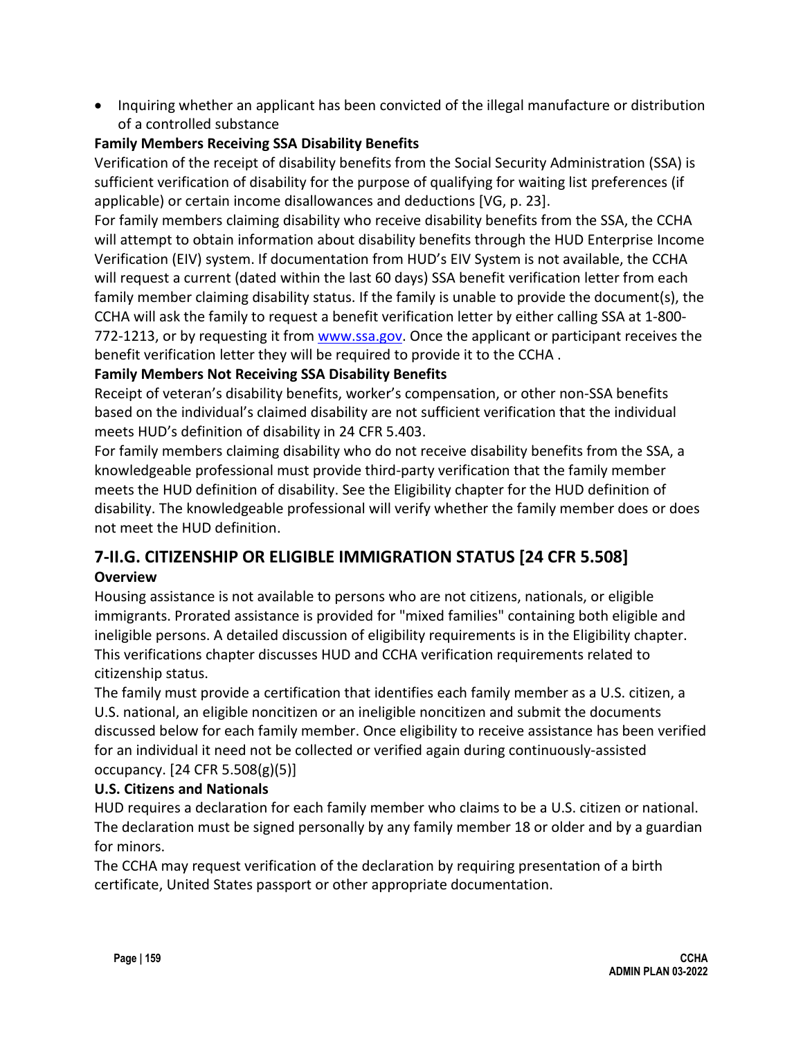• Inquiring whether an applicant has been convicted of the illegal manufacture or distribution of a controlled substance

### **Family Members Receiving SSA Disability Benefits**

Verification of the receipt of disability benefits from the Social Security Administration (SSA) is sufficient verification of disability for the purpose of qualifying for waiting list preferences (if applicable) or certain income disallowances and deductions [VG, p. 23].

For family members claiming disability who receive disability benefits from the SSA, the CCHA will attempt to obtain information about disability benefits through the HUD Enterprise Income Verification (EIV) system. If documentation from HUD's EIV System is not available, the CCHA will request a current (dated within the last 60 days) SSA benefit verification letter from each family member claiming disability status. If the family is unable to provide the document(s), the CCHA will ask the family to request a benefit verification letter by either calling SSA at 1-800- 772-1213, or by requesting it from [www.ssa.gov.](http://www.ssa.gov/) Once the applicant or participant receives the benefit verification letter they will be required to provide it to the CCHA .

### **Family Members Not Receiving SSA Disability Benefits**

Receipt of veteran's disability benefits, worker's compensation, or other non-SSA benefits based on the individual's claimed disability are not sufficient verification that the individual meets HUD's definition of disability in 24 CFR 5.403.

For family members claiming disability who do not receive disability benefits from the SSA, a knowledgeable professional must provide third-party verification that the family member meets the HUD definition of disability. See the Eligibility chapter for the HUD definition of disability. The knowledgeable professional will verify whether the family member does or does not meet the HUD definition.

### **7-II.G. CITIZENSHIP OR ELIGIBLE IMMIGRATION STATUS [24 CFR 5.508] Overview**

Housing assistance is not available to persons who are not citizens, nationals, or eligible immigrants. Prorated assistance is provided for "mixed families" containing both eligible and ineligible persons. A detailed discussion of eligibility requirements is in the Eligibility chapter. This verifications chapter discusses HUD and CCHA verification requirements related to citizenship status.

The family must provide a certification that identifies each family member as a U.S. citizen, a U.S. national, an eligible noncitizen or an ineligible noncitizen and submit the documents discussed below for each family member. Once eligibility to receive assistance has been verified for an individual it need not be collected or verified again during continuously-assisted occupancy. [24 CFR 5.508(g)(5)]

### **U.S. Citizens and Nationals**

HUD requires a declaration for each family member who claims to be a U.S. citizen or national. The declaration must be signed personally by any family member 18 or older and by a guardian for minors.

The CCHA may request verification of the declaration by requiring presentation of a birth certificate, United States passport or other appropriate documentation.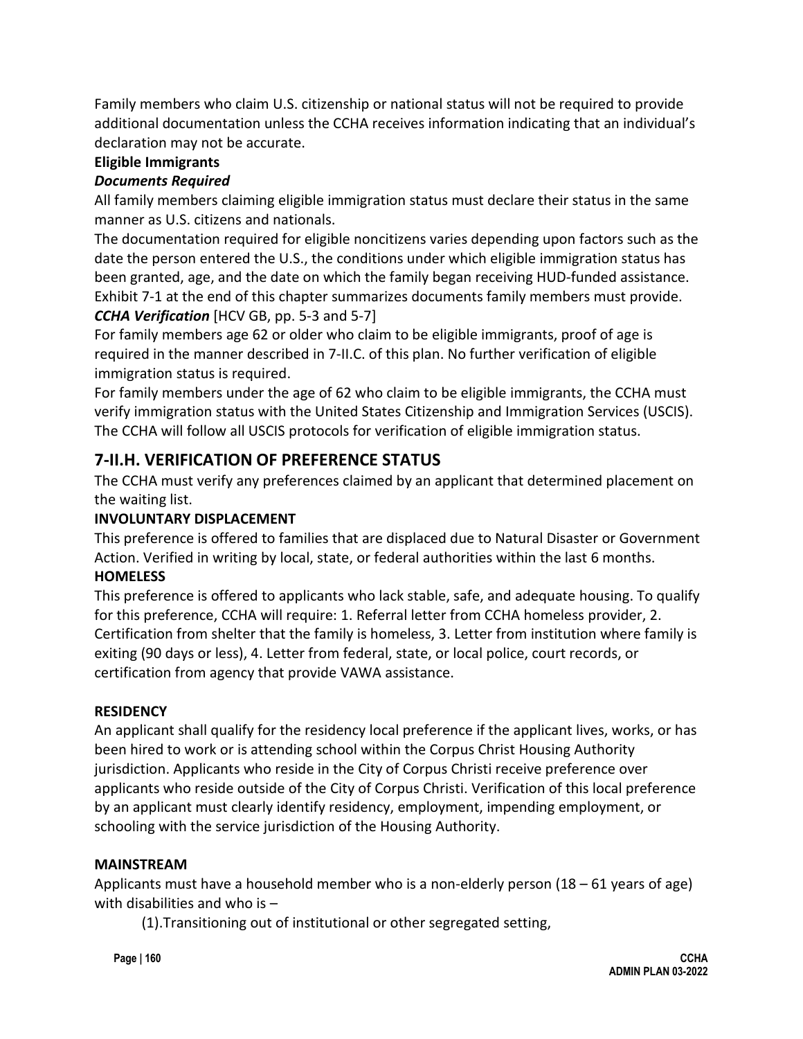Family members who claim U.S. citizenship or national status will not be required to provide additional documentation unless the CCHA receives information indicating that an individual's declaration may not be accurate.

### **Eligible Immigrants**

### *Documents Required*

All family members claiming eligible immigration status must declare their status in the same manner as U.S. citizens and nationals.

The documentation required for eligible noncitizens varies depending upon factors such as the date the person entered the U.S., the conditions under which eligible immigration status has been granted, age, and the date on which the family began receiving HUD-funded assistance. Exhibit 7-1 at the end of this chapter summarizes documents family members must provide. **CCHA Verification** [HCV GB, pp. 5-3 and 5-7]

For family members age 62 or older who claim to be eligible immigrants, proof of age is required in the manner described in 7-II.C. of this plan. No further verification of eligible immigration status is required.

For family members under the age of 62 who claim to be eligible immigrants, the CCHA must verify immigration status with the United States Citizenship and Immigration Services (USCIS). The CCHA will follow all USCIS protocols for verification of eligible immigration status.

## **7-II.H. VERIFICATION OF PREFERENCE STATUS**

The CCHA must verify any preferences claimed by an applicant that determined placement on the waiting list.

### **INVOLUNTARY DISPLACEMENT**

This preference is offered to families that are displaced due to Natural Disaster or Government Action. Verified in writing by local, state, or federal authorities within the last 6 months. **HOMELESS** 

This preference is offered to applicants who lack stable, safe, and adequate housing. To qualify for this preference, CCHA will require: 1. Referral letter from CCHA homeless provider, 2. Certification from shelter that the family is homeless, 3. Letter from institution where family is exiting (90 days or less), 4. Letter from federal, state, or local police, court records, or certification from agency that provide VAWA assistance.

### **RESIDENCY**

An applicant shall qualify for the residency local preference if the applicant lives, works, or has been hired to work or is attending school within the Corpus Christ Housing Authority jurisdiction. Applicants who reside in the City of Corpus Christi receive preference over applicants who reside outside of the City of Corpus Christi. Verification of this local preference by an applicant must clearly identify residency, employment, impending employment, or schooling with the service jurisdiction of the Housing Authority.

### **MAINSTREAM**

Applicants must have a household member who is a non-elderly person  $(18 - 61$  years of age) with disabilities and who is –

(1).Transitioning out of institutional or other segregated setting,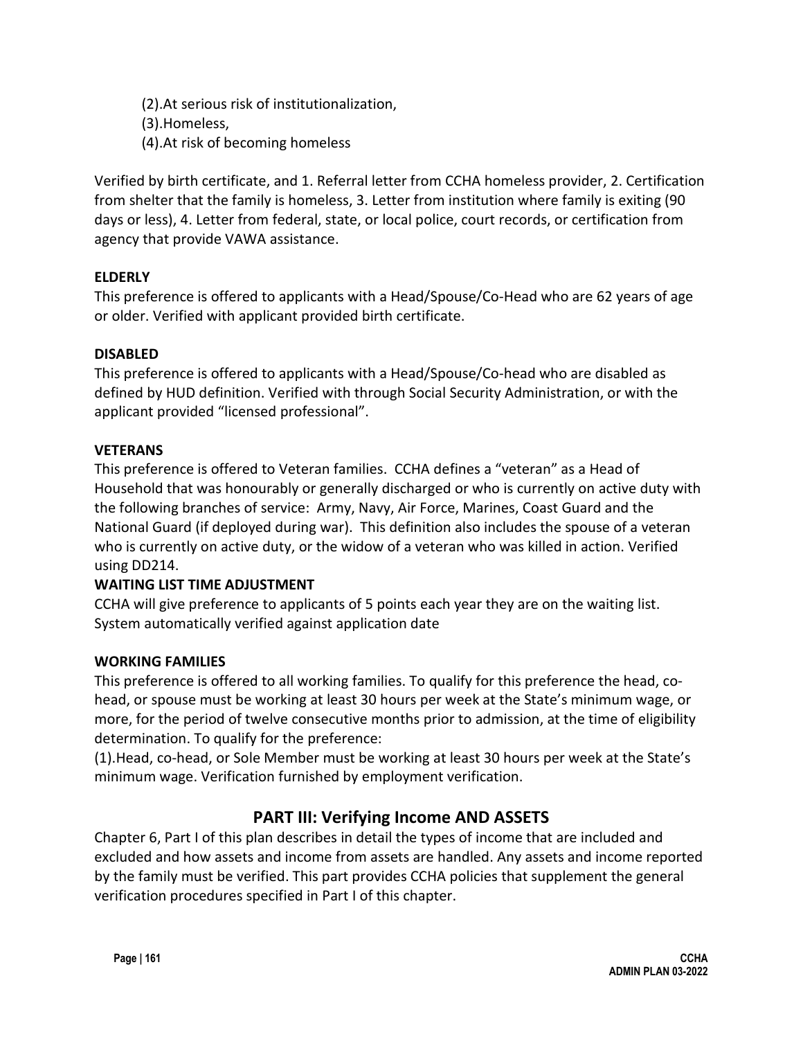(2).At serious risk of institutionalization, (3).Homeless, (4).At risk of becoming homeless

Verified by birth certificate, and 1. Referral letter from CCHA homeless provider, 2. Certification from shelter that the family is homeless, 3. Letter from institution where family is exiting (90 days or less), 4. Letter from federal, state, or local police, court records, or certification from agency that provide VAWA assistance.

## **ELDERLY**

This preference is offered to applicants with a Head/Spouse/Co-Head who are 62 years of age or older. Verified with applicant provided birth certificate.

### **DISABLED**

This preference is offered to applicants with a Head/Spouse/Co-head who are disabled as defined by HUD definition. Verified with through Social Security Administration, or with the applicant provided "licensed professional".

### **VETERANS**

This preference is offered to Veteran families. CCHA defines a "veteran" as a Head of Household that was honourably or generally discharged or who is currently on active duty with the following branches of service: Army, Navy, Air Force, Marines, Coast Guard and the National Guard (if deployed during war). This definition also includes the spouse of a veteran who is currently on active duty, or the widow of a veteran who was killed in action. Verified using DD214.

## **WAITING LIST TIME ADJUSTMENT**

CCHA will give preference to applicants of 5 points each year they are on the waiting list. System automatically verified against application date

### **WORKING FAMILIES**

This preference is offered to all working families. To qualify for this preference the head, cohead, or spouse must be working at least 30 hours per week at the State's minimum wage, or more, for the period of twelve consecutive months prior to admission, at the time of eligibility determination. To qualify for the preference:

(1).Head, co-head, or Sole Member must be working at least 30 hours per week at the State's minimum wage. Verification furnished by employment verification.

## **PART III: Verifying Income AND ASSETS**

Chapter 6, Part I of this plan describes in detail the types of income that are included and excluded and how assets and income from assets are handled. Any assets and income reported by the family must be verified. This part provides CCHA policies that supplement the general verification procedures specified in Part I of this chapter.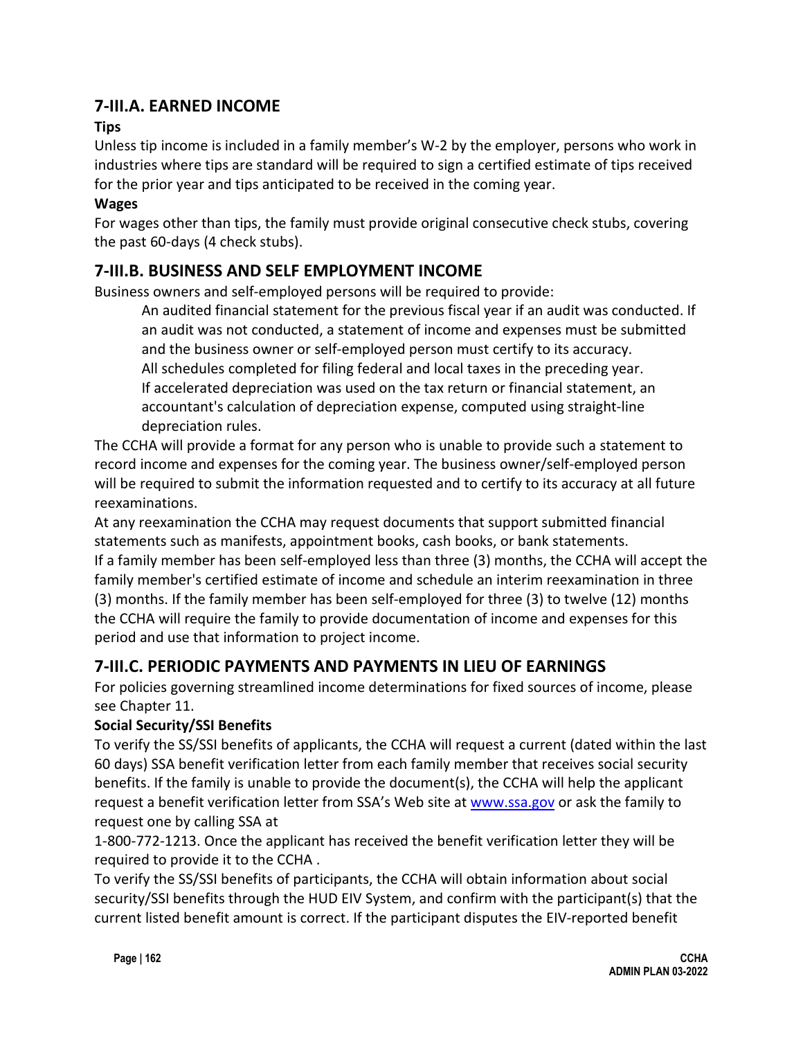## **7-III.A. EARNED INCOME**

## **Tips**

Unless tip income is included in a family member's W-2 by the employer, persons who work in industries where tips are standard will be required to sign a certified estimate of tips received for the prior year and tips anticipated to be received in the coming year.

### **Wages**

For wages other than tips, the family must provide original consecutive check stubs, covering the past 60-days (4 check stubs).

## **7-III.B. BUSINESS AND SELF EMPLOYMENT INCOME**

Business owners and self-employed persons will be required to provide:

An audited financial statement for the previous fiscal year if an audit was conducted. If an audit was not conducted, a statement of income and expenses must be submitted and the business owner or self-employed person must certify to its accuracy. All schedules completed for filing federal and local taxes in the preceding year. If accelerated depreciation was used on the tax return or financial statement, an accountant's calculation of depreciation expense, computed using straight-line depreciation rules.

The CCHA will provide a format for any person who is unable to provide such a statement to record income and expenses for the coming year. The business owner/self-employed person will be required to submit the information requested and to certify to its accuracy at all future reexaminations.

At any reexamination the CCHA may request documents that support submitted financial statements such as manifests, appointment books, cash books, or bank statements. If a family member has been self-employed less than three (3) months, the CCHA will accept the family member's certified estimate of income and schedule an interim reexamination in three (3) months. If the family member has been self-employed for three (3) to twelve (12) months the CCHA will require the family to provide documentation of income and expenses for this period and use that information to project income.

## **7-III.C. PERIODIC PAYMENTS AND PAYMENTS IN LIEU OF EARNINGS**

For policies governing streamlined income determinations for fixed sources of income, please see Chapter 11.

## **Social Security/SSI Benefits**

To verify the SS/SSI benefits of applicants, the CCHA will request a current (dated within the last 60 days) SSA benefit verification letter from each family member that receives social security benefits. If the family is unable to provide the document(s), the CCHA will [help](http://help/) the applicant request a benefit verification letter from SSA's Web site at [www.ssa.gov](http://www.ssa.gov/) or ask the family to request one by calling SSA at

1-800-772-1213. Once the applicant has received the benefit verification letter they will be required to provide it to the CCHA .

To verify the SS/SSI benefits of participants, the CCHA will obtain information about social security/SSI benefits through the HUD EIV System, and confirm with the participant(s) that the current listed benefit amount is correct. If the participant disputes the EIV-reported benefit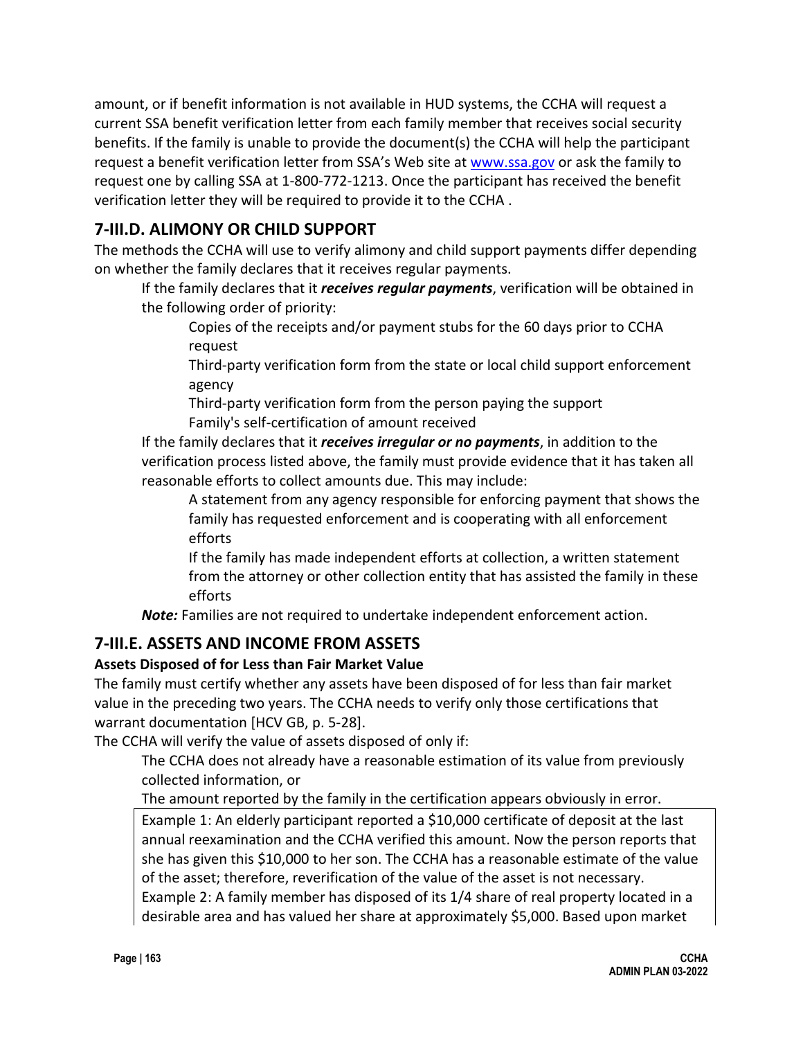amount, or if benefit information is not available in HUD systems, the CCHA will request a current SSA benefit verification letter from each family member that receives social security benefits. If the family is unable to provide the document(s) the CCHA will [help](http://help/) the participant request a benefit verification letter from SSA's Web site at [www.ssa.gov](http://www.ssa.gov/) or ask the family to request one by calling SSA at 1-800-772-1213. Once the participant has received the benefit verification letter they will be required to provide it to the CCHA .

## **7-III.D. ALIMONY OR CHILD SUPPORT**

The methods the CCHA will use to verify alimony and child support payments differ depending on whether the family declares that it receives regular payments.

If the family declares that it *receives regular payments*, verification will be obtained in the following order of priority:

Copies of the receipts and/or payment stubs for the 60 days prior to CCHA request

Third-party verification form from the state or local child support enforcement agency

Third-party verification form from the person paying the support Family's self-certification of amount received

If the family declares that it *receives irregular or no payments*, in addition to the verification process listed above, the family must provide evidence that it has taken all reasonable efforts to collect amounts due. This may include:

A statement from any agency responsible for enforcing payment that shows the family has requested enforcement and is cooperating with all enforcement efforts

If the family has made independent efforts at collection, a written statement from the attorney or other collection entity that has assisted the family in these efforts

*Note:* Families are not required to undertake independent enforcement action.

## **7-III.E. ASSETS AND INCOME FROM ASSETS**

## **Assets Disposed of for Less than Fair Market Value**

The family must certify whether any assets have been disposed of for less than fair market value in the preceding two years. The CCHA needs to verify only those certifications that warrant documentation [HCV GB, p. 5-28].

The CCHA will verify the value of assets disposed of only if:

The CCHA does not already have a reasonable estimation of its value from previously collected information, or

The amount reported by the family in the certification appears obviously in error.

Example 1: An elderly participant reported a \$10,000 certificate of deposit at the last annual reexamination and the CCHA verified this amount. Now the person reports that she has given this \$10,000 to her son. The CCHA has a reasonable estimate of the value of the asset; therefore, reverification of the value of the asset is not necessary. Example 2: A family member has disposed of its 1/4 share of real property located in a desirable area and has valued her share at approximately \$5,000. Based upon market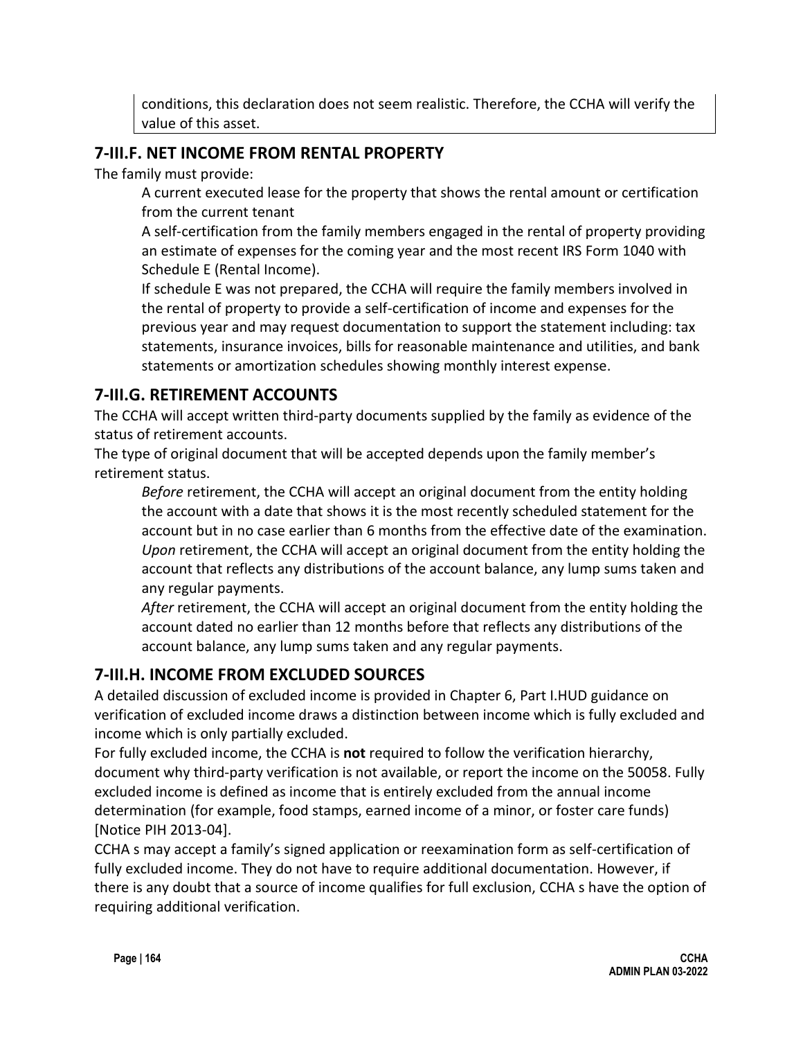conditions, this declaration does not seem realistic. Therefore, the CCHA will verify the value of this asset.

## **7-III.F. NET INCOME FROM RENTAL PROPERTY**

The family must provide:

A current executed lease for the property that shows the rental amount or certification from the current tenant

A self-certification from the family members engaged in the rental of property providing an estimate of expenses for the coming year and the most recent IRS Form 1040 with Schedule E (Rental Income).

If schedule E was not prepared, the CCHA will require the family members involved in the rental of property to provide a self-certification of income and expenses for the previous year and may request documentation to support the statement including: tax statements, insurance invoices, bills for reasonable maintenance and utilities, and bank statements or amortization schedules showing monthly interest expense.

## **7-III.G. RETIREMENT ACCOUNTS**

The CCHA will accept written third-party documents supplied by the family as evidence of the status of retirement accounts.

The type of original document that will be accepted depends upon the family member's retirement status.

*Before* retirement, the CCHA will accept an original document from the entity holding the account with a date that shows it is the most recently scheduled statement for the account but in no case earlier than 6 months from the effective date of the examination. *Upon* retirement, the CCHA will accept an original document from the entity holding the account that reflects any distributions of the account balance, any lump sums taken and any regular payments.

*After* retirement, the CCHA will accept an original document from the entity holding the account dated no earlier than 12 months before that reflects any distributions of the account balance, any lump sums taken and any regular payments.

## **7-III.H. INCOME FROM EXCLUDED SOURCES**

A detailed discussion of excluded income is provided in Chapter 6, Part I.HUD guidance on verification of excluded income draws a distinction between income which is fully excluded and income which is only partially excluded.

For fully excluded income, the CCHA is **not** required to follow the verification hierarchy, document why third-party verification is not available, or report the income on the 50058. Fully excluded income is defined as income that is entirely excluded from the annual income determination (for example, food stamps, earned income of a minor, or foster care funds) [Notice PIH 2013-04].

CCHA s may accept a family's signed application or reexamination form as self-certification of fully excluded income. They do not have to require additional documentation. However, if there is any doubt that a source of income qualifies for full exclusion, CCHA s have the option of requiring additional verification.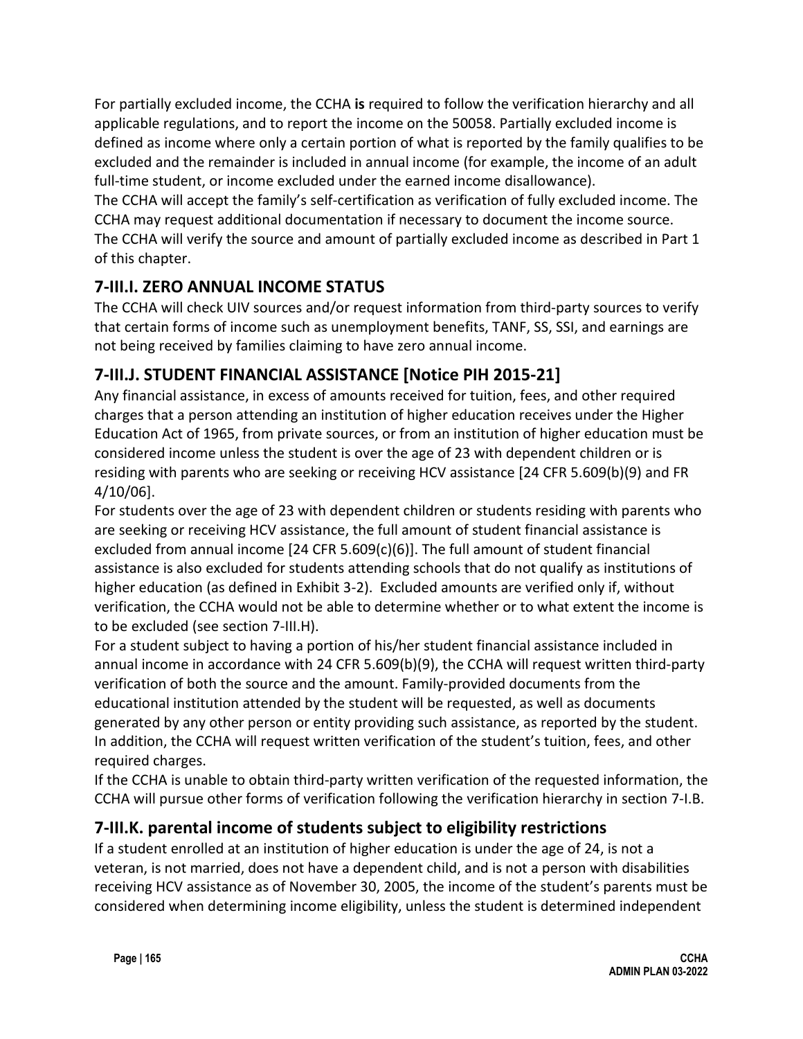For partially excluded income, the CCHA **is** required to follow the verification hierarchy and all applicable regulations, and to report the income on the 50058. Partially excluded income is defined as income where only a certain portion of what is reported by the family qualifies to be excluded and the remainder is included in annual income (for example, the income of an adult full-time student, or income excluded under the earned income disallowance).

The CCHA will accept the family's self-certification as verification of fully excluded income. The CCHA may request additional documentation if necessary to document the income source. The CCHA will verify the source and amount of partially excluded income as described in Part 1 of this chapter.

## **7-III.I. ZERO ANNUAL INCOME STATUS**

The CCHA will check UIV sources and/or request information from third-party sources to verify that certain forms of income such as unemployment benefits, TANF, SS, SSI, and earnings are not being received by families claiming to have zero annual income.

## **7-III.J. STUDENT FINANCIAL ASSISTANCE [Notice PIH 2015-21]**

Any financial assistance, in excess of amounts received for tuition, fees, and other required charges that a person attending an institution of higher education receives under the Higher Education Act of 1965, from private sources, or from an institution of higher education must be considered income unless the student is over the age of 23 with dependent children or is residing with parents who are seeking or receiving HCV assistance [24 CFR 5.609(b)(9) and FR 4/10/06].

For students over the age of 23 with dependent children or students residing with parents who are seeking or receiving HCV assistance, the full amount of student financial assistance is excluded from annual income [24 CFR 5.609(c)(6)]. The full amount of student financial assistance is also excluded for students attending schools that do not qualify as institutions of higher education (as defined in Exhibit 3-2). Excluded amounts are verified only if, without verification, the CCHA would not be able to determine whether or to what extent the income is to be excluded (see section 7-III.H).

For a student subject to having a portion of his/her student financial assistance included in annual income in accordance with 24 CFR 5.609(b)(9), the CCHA will request written third-party verification of both the source and the amount. Family-provided documents from the educational institution attended by the student will be requested, as well as documents generated by any other person or entity providing such assistance, as reported by the student. In addition, the CCHA will request written verification of the student's tuition, fees, and other required charges.

If the CCHA is unable to obtain third-party written verification of the requested information, the CCHA will pursue other forms of verification following the verification hierarchy in section 7-I.B.

## **7-III.K. parental income of students subject to eligibility restrictions**

If a student enrolled at an institution of higher education is under the age of 24, is not a veteran, is not married, does not have a dependent child, and is not a person with disabilities receiving HCV assistance as of November 30, 2005, the income of the student's parents must be considered when determining income eligibility, unless the student is determined independent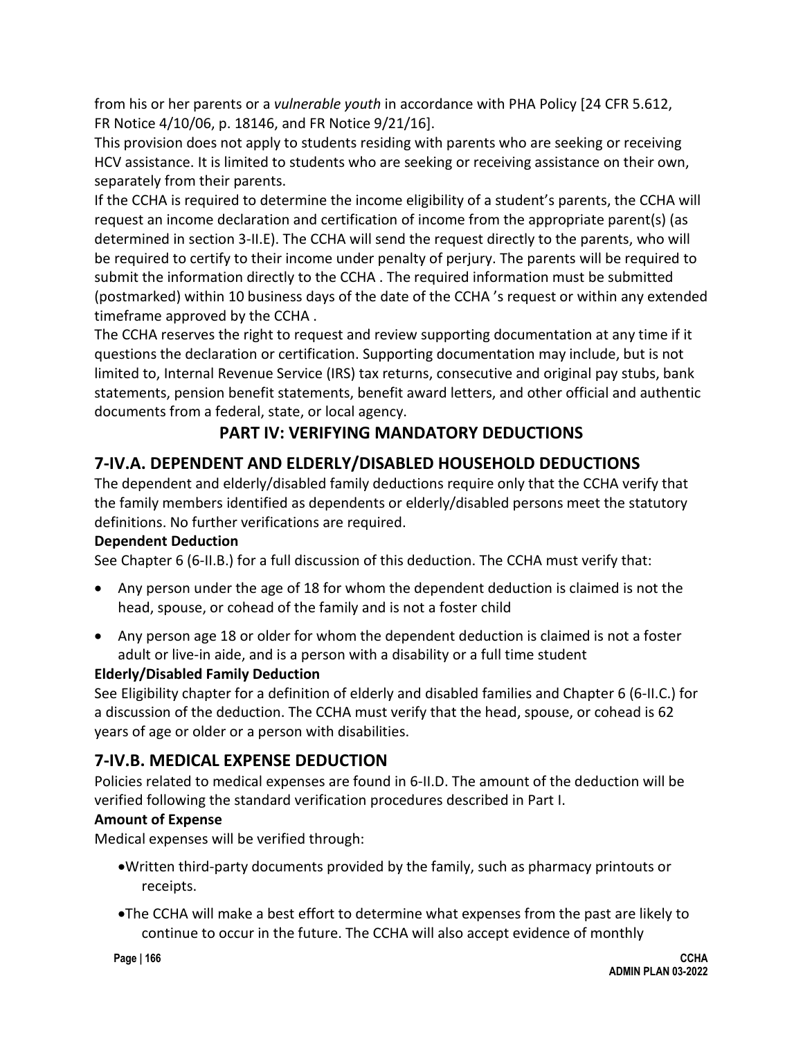from his or her parents or a *vulnerable youth* in accordance with PHA Policy [24 CFR 5.612, FR Notice 4/10/06, p. 18146, and FR Notice 9/21/16].

This provision does not apply to students residing with parents who are seeking or receiving HCV assistance. It is limited to students who are seeking or receiving assistance on their own, separately from their parents.

If the CCHA is required to determine the income eligibility of a student's parents, the CCHA will request an income declaration and certification of income from the appropriate parent(s) (as determined in section 3-II.E). The CCHA will send the request directly to the parents, who will be required to certify to their income under penalty of perjury. The parents will be required to submit the information directly to the CCHA . The required information must be submitted (postmarked) within 10 business days of the date of the CCHA 's request or within any extended timeframe approved by the CCHA .

The CCHA reserves the right to request and review supporting documentation at any time if it questions the declaration or certification. Supporting documentation may include, but is not limited to, Internal Revenue Service (IRS) tax returns, consecutive and original pay stubs, bank statements, pension benefit statements, benefit award letters, and other official and authentic documents from a federal, state, or local agency.

## **PART IV: VERIFYING MANDATORY DEDUCTIONS**

## **7-IV.A. DEPENDENT AND ELDERLY/DISABLED HOUSEHOLD DEDUCTIONS**

The dependent and elderly/disabled family deductions require only that the CCHA verify that the family members identified as dependents or elderly/disabled persons meet the statutory definitions. No further verifications are required.

### **Dependent Deduction**

See Chapter 6 (6-II.B.) for a full discussion of this deduction. The CCHA must verify that:

- Any person under the age of 18 for whom the dependent deduction is claimed is not the head, spouse, or cohead of the family and is not a foster child
- Any person age 18 or older for whom the dependent deduction is claimed is not a foster adult or live-in aide, and is a person with a disability or a full time student

## **Elderly/Disabled Family Deduction**

See Eligibility chapter for a definition of elderly and disabled families and Chapter 6 (6-II.C.) for a discussion of the deduction. The CCHA must verify that the head, spouse, or cohead is 62 years of age or older or a person with disabilities.

## **7-IV.B. MEDICAL EXPENSE DEDUCTION**

Policies related to medical expenses are found in 6-II.D. The amount of the deduction will be verified following the standard verification procedures described in Part I.

## **Amount of Expense**

Medical expenses will be verified through:

- •Written third-party documents provided by the family, such as pharmacy printouts or receipts.
- •The CCHA will make a best effort to determine what expenses from the past are likely to continue to occur in the future. The CCHA will also accept evidence of monthly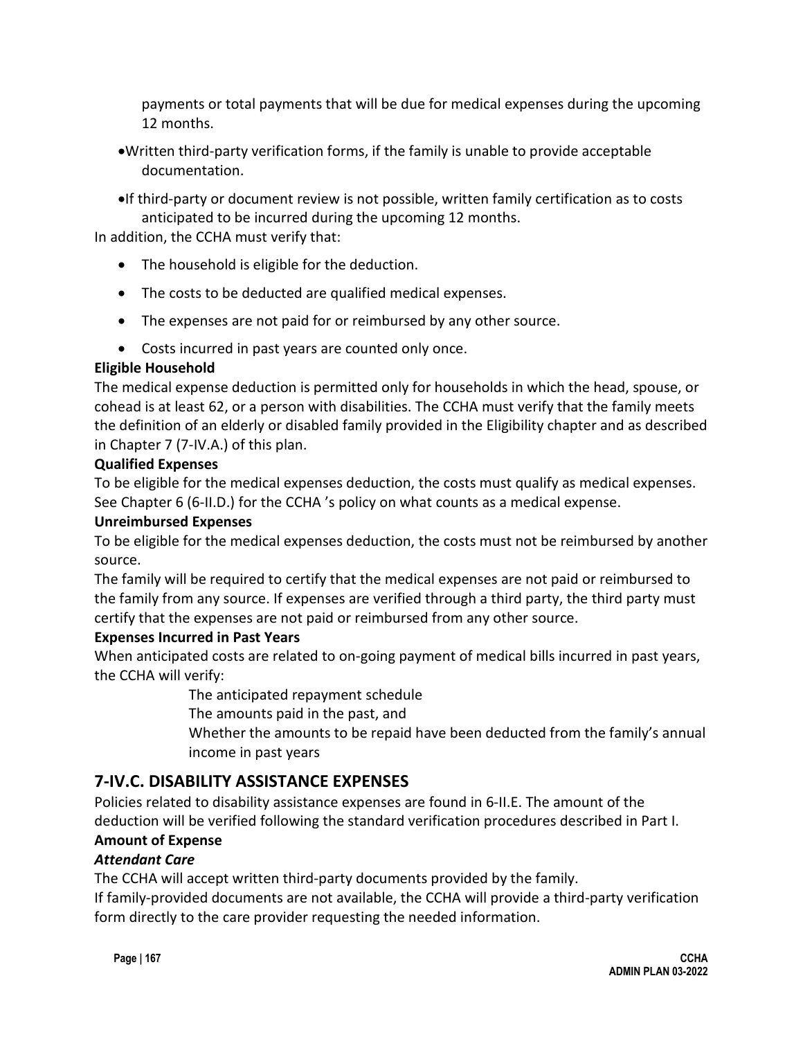payments or total payments that will be due for medical expenses during the upcoming 12 months.

- •Written third-party verification forms, if the family is unable to provide acceptable documentation.
- •If third-party or document review is not possible, written family certification as to costs anticipated to be incurred during the upcoming 12 months.

In addition, the CCHA must verify that:

- The household is eligible for the deduction.
- The costs to be deducted are qualified medical expenses.
- The expenses are not paid for or reimbursed by any other source.
- Costs incurred in past years are counted only once.

### **Eligible Household**

The medical expense deduction is permitted only for households in which the head, spouse, or cohead is at least 62, or a person with disabilities. The CCHA must verify that the family meets the definition of an elderly or disabled family provided in the Eligibility chapter and as described in Chapter 7 (7-IV.A.) of this plan.

### **Qualified Expenses**

To be eligible for the medical expenses deduction, the costs must qualify as medical expenses. See Chapter 6 (6-II.D.) for the CCHA 's policy on what counts as a medical expense.

### **Unreimbursed Expenses**

To be eligible for the medical expenses deduction, the costs must not be reimbursed by another source.

The family will be required to certify that the medical expenses are not paid or reimbursed to the family from any source. If expenses are verified through a third party, the third party must certify that the expenses are not paid or reimbursed from any other source.

### **Expenses Incurred in Past Years**

When anticipated costs are related to on-going payment of medical bills incurred in past years, the CCHA will verify:

The anticipated repayment schedule

The amounts paid in the past, and

Whether the amounts to be repaid have been deducted from the family's annual income in past years

## **7-IV.C. DISABILITY ASSISTANCE EXPENSES**

Policies related to disability assistance expenses are found in 6-II.E. The amount of the deduction will be verified following the standard verification procedures described in Part I.

## **Amount of Expense**

## *Attendant Care*

The CCHA will accept written third-party documents provided by the family.

If family-provided documents are not available, the CCHA will provide a third-party verification form directly to the care provider requesting the needed information.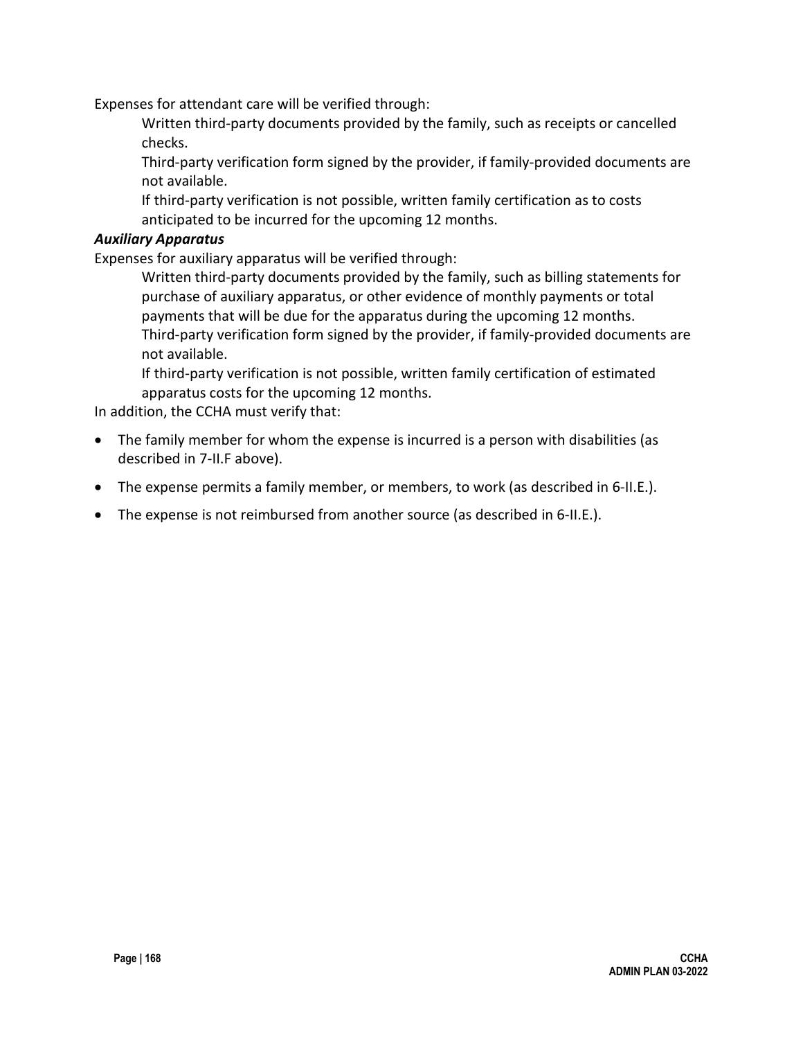Expenses for attendant care will be verified through:

Written third-party documents provided by the family, such as receipts or cancelled checks.

Third-party verification form signed by the provider, if family-provided documents are not available.

If third-party verification is not possible, written family certification as to costs anticipated to be incurred for the upcoming 12 months.

#### *Auxiliary Apparatus*

Expenses for auxiliary apparatus will be verified through:

Written third-party documents provided by the family, such as billing statements for purchase of auxiliary apparatus, or other evidence of monthly payments or total payments that will be due for the apparatus during the upcoming 12 months. Third-party verification form signed by the provider, if family-provided documents are not available.

If third-party verification is not possible, written family certification of estimated apparatus costs for the upcoming 12 months.

In addition, the CCHA must verify that:

- The family member for whom the expense is incurred is a person with disabilities (as described in 7-II.F above).
- The expense permits a family member, or members, to work (as described in 6-II.E.).
- The expense is not reimbursed from another source (as described in 6-II.E.).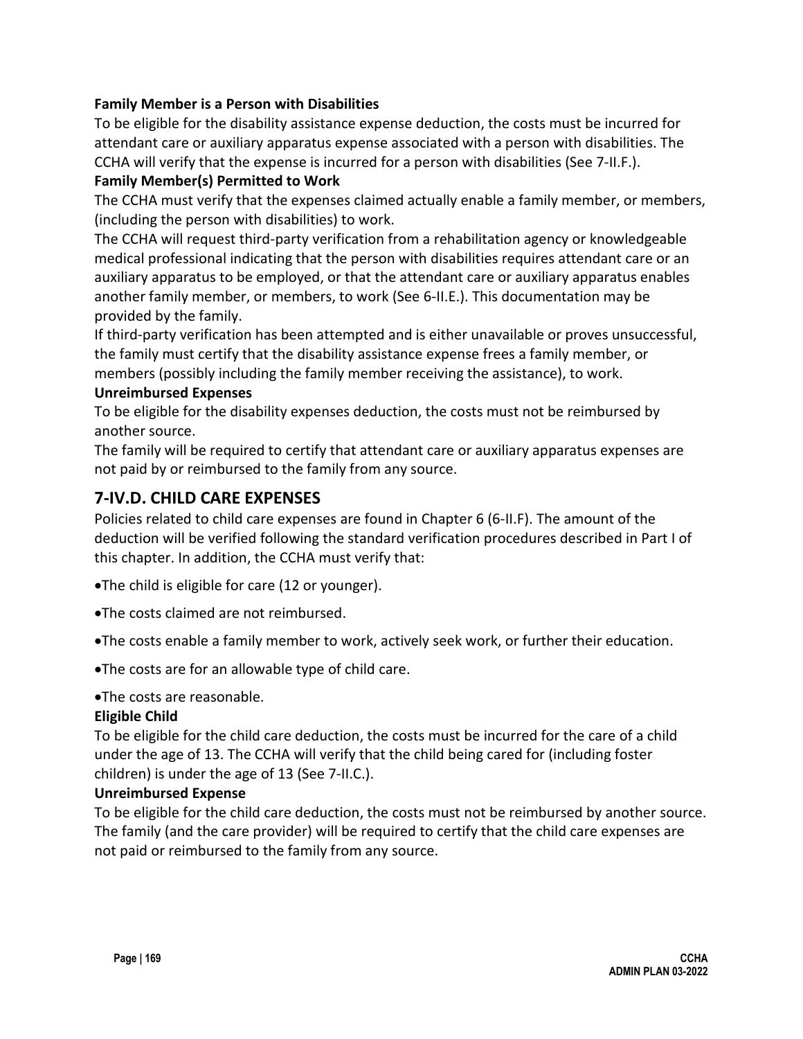#### **Family Member is a Person with Disabilities**

To be eligible for the disability assistance expense deduction, the costs must be incurred for attendant care or auxiliary apparatus expense associated with a person with disabilities. The CCHA will verify that the expense is incurred for a person with disabilities (See 7-II.F.).

#### **Family Member(s) Permitted to Work**

The CCHA must verify that the expenses claimed actually enable a family member, or members, (including the person with disabilities) to work.

The CCHA will request third-party verification from a rehabilitation agency or knowledgeable medical professional indicating that the person with disabilities requires attendant care or an auxiliary apparatus to be employed, or that the attendant care or auxiliary apparatus enables another family member, or members, to work (See 6-II.E.). This documentation may be provided by the family.

If third-party verification has been attempted and is either unavailable or proves unsuccessful, the family must certify that the disability assistance expense frees a family member, or members (possibly including the family member receiving the assistance), to work.

#### **Unreimbursed Expenses**

To be eligible for the disability expenses deduction, the costs must not be reimbursed by another source.

The family will be required to certify that attendant care or auxiliary apparatus expenses are not paid by or reimbursed to the family from any source.

## **7-IV.D. CHILD CARE EXPENSES**

Policies related to child care expenses are found in Chapter 6 (6-II.F). The amount of the deduction will be verified following the standard verification procedures described in Part I of this chapter. In addition, the CCHA must verify that:

- •The child is eligible for care (12 or younger).
- •The costs claimed are not reimbursed.
- •The costs enable a family member to work, actively seek work, or further their education.
- •The costs are for an allowable type of child care.
- •The costs are reasonable.

#### **Eligible Child**

To be eligible for the child care deduction, the costs must be incurred for the care of a child under the age of 13. The CCHA will verify that the child being cared for (including foster children) is under the age of 13 (See 7-II.C.).

#### **Unreimbursed Expense**

To be eligible for the child care deduction, the costs must not be reimbursed by another source. The family (and the care provider) will be required to certify that the child care expenses are not paid or reimbursed to the family from any source.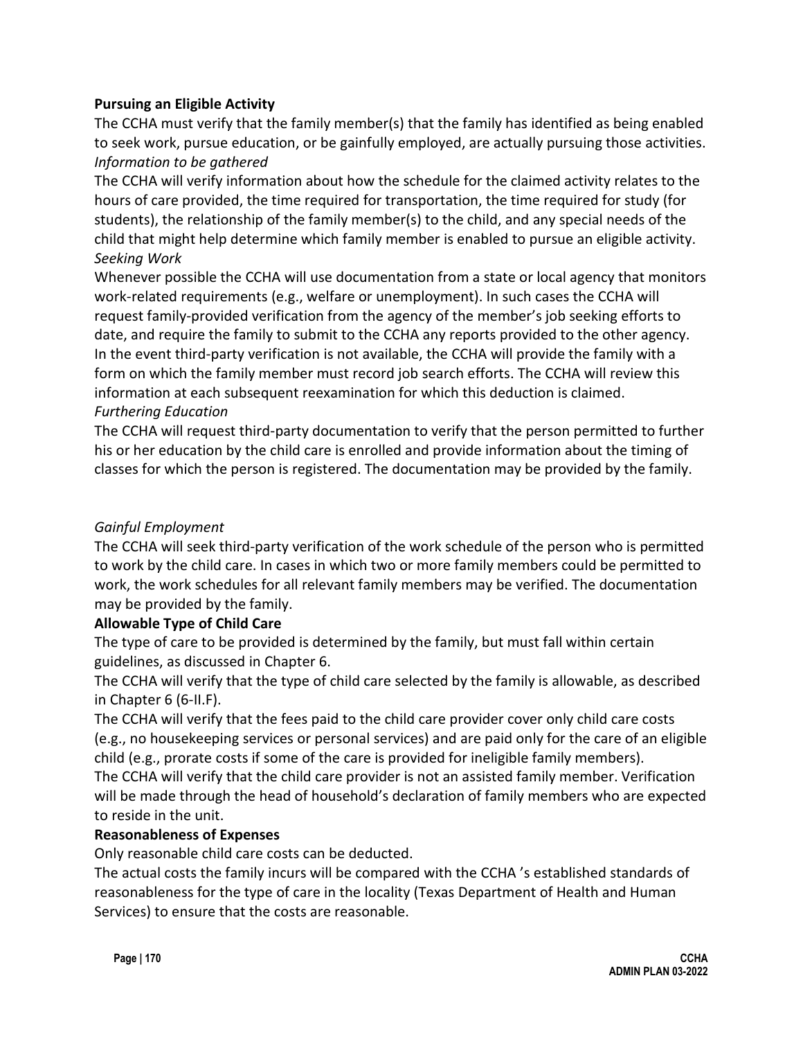### **Pursuing an Eligible Activity**

The CCHA must verify that the family member(s) that the family has identified as being enabled to seek work, pursue education, or be gainfully employed, are actually pursuing those activities. *Information to be gathered*

The CCHA will verify information about how the schedule for the claimed activity relates to the hours of care provided, the time required for transportation, the time required for study (for students), the relationship of the family member(s) to the child, and any special needs of the child that might help determine which family member is enabled to pursue an eligible activity. *Seeking Work*

Whenever possible the CCHA will use documentation from a state or local agency that monitors work-related requirements (e.g., welfare or unemployment). In such cases the CCHA will request family-provided verification from the agency of the member's job seeking efforts to date, and require the family to submit to the CCHA any reports provided to the other agency. In the event third-party verification is not available, the CCHA will provide the family with a form on which the family member must record job search efforts. The CCHA will review this information at each subsequent reexamination for which this deduction is claimed. *Furthering Education*

The CCHA will request third-party documentation to verify that the person permitted to further his or her education by the child care is enrolled and provide information about the timing of classes for which the person is registered. The documentation may be provided by the family.

### *Gainful Employment*

The CCHA will seek third-party verification of the work schedule of the person who is permitted to work by the child care. In cases in which two or more family members could be permitted to work, the work schedules for all relevant family members may be verified. The documentation may be provided by the family.

### **Allowable Type of Child Care**

The type of care to be provided is determined by the family, but must fall within certain guidelines, as discussed in Chapter 6.

The CCHA will verify that the type of child care selected by the family is allowable, as described in Chapter 6 (6-II.F).

The CCHA will verify that the fees paid to the child care provider cover only child care costs (e.g., no housekeeping services or personal services) and are paid only for the care of an eligible child (e.g., prorate costs if some of the care is provided for ineligible family members).

The CCHA will verify that the child care provider is not an assisted family member. Verification will be made through the head of household's declaration of family members who are expected to reside in the unit.

### **Reasonableness of Expenses**

Only reasonable child care costs can be deducted.

The actual costs the family incurs will be compared with the CCHA 's established standards of reasonableness for the type of care in the locality (Texas Department of Health and Human Services) to ensure that the costs are reasonable.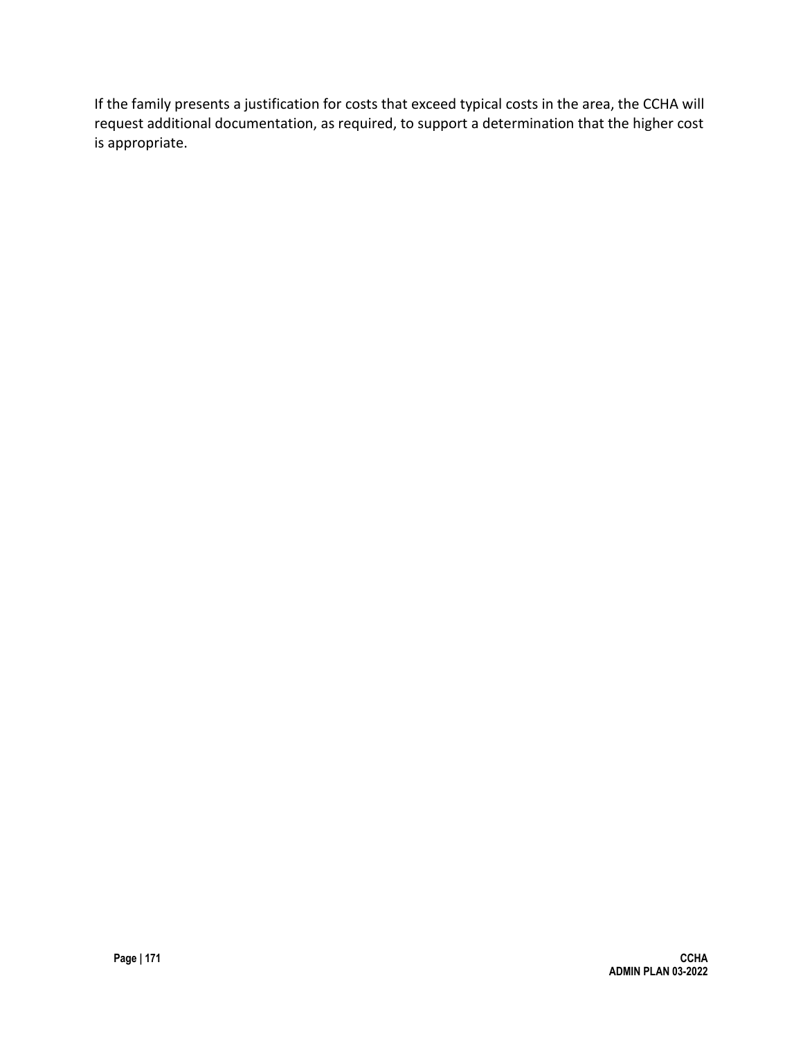If the family presents a justification for costs that exceed typical costs in the area, the CCHA will request additional documentation, as required, to support a determination that the higher cost is appropriate.